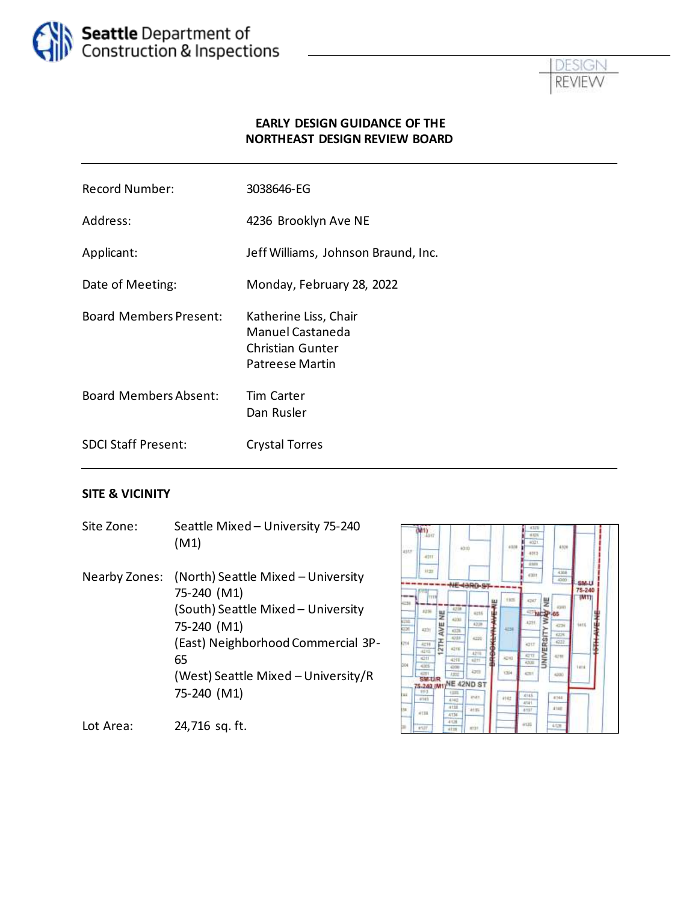



#### **EARLY DESIGN GUIDANCE OF THE NORTHEAST DESIGN REVIEW BOARD**

| <b>Record Number:</b>         | 3038646-EG                                                                                     |
|-------------------------------|------------------------------------------------------------------------------------------------|
| Address:                      | 4236 Brooklyn Ave NE                                                                           |
| Applicant:                    | Jeff Williams, Johnson Braund, Inc.                                                            |
| Date of Meeting:              | Monday, February 28, 2022                                                                      |
| <b>Board Members Present:</b> | Katherine Liss, Chair<br>Manuel Castaneda<br><b>Christian Gunter</b><br><b>Patreese Martin</b> |
| <b>Board Members Absent:</b>  | <b>Tim Carter</b><br>Dan Rusler                                                                |
| <b>SDCI Staff Present:</b>    | <b>Crystal Torres</b>                                                                          |
|                               |                                                                                                |

#### **SITE & VICINITY**

Site Zone: Seattle Mixed – University 75-240 (M1) Nearby Zones: (North) Seattle Mixed – University 75-240 (M1) (South) Seattle Mixed – University 75-240 (M1) (East) Neighborhood Commercial 3P-65 (West) Seattle Mixed – University/R 75-240 (M1)



Lot Area: 24,716 sq. ft.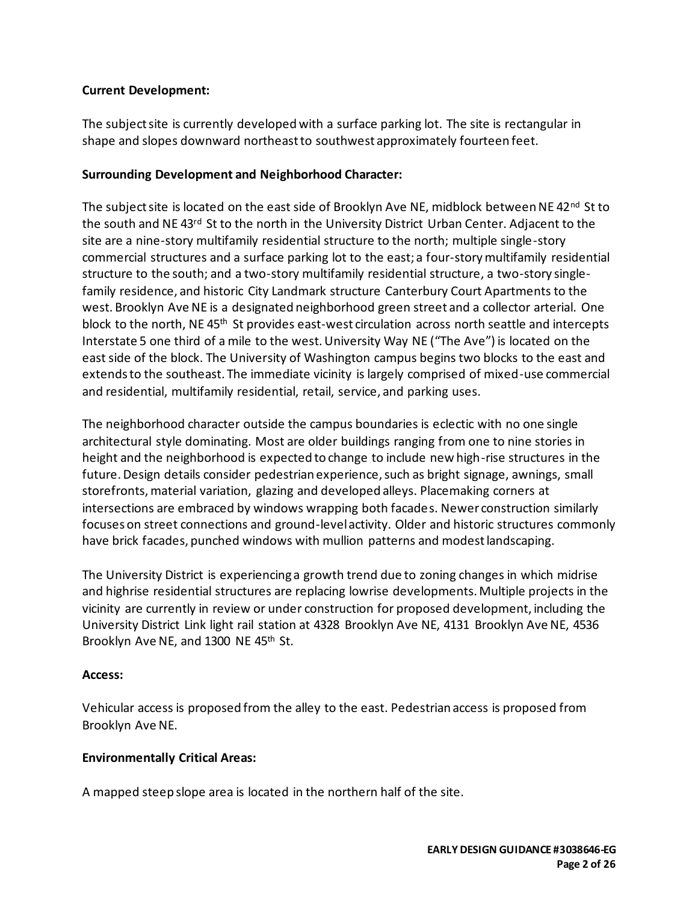#### **Current Development:**

The subject site is currently developed with a surface parking lot. The site is rectangular in shape and slopes downward northeast to southwest approximately fourteen feet.

#### **Surrounding Development and Neighborhood Character:**

The subject site is located on the east side of Brooklyn Ave NE, midblock between NE  $42<sup>nd</sup>$  St to the south and NE 43<sup>rd</sup> St to the north in the University District Urban Center. Adjacent to the site are a nine-story multifamily residential structure to the north; multiple single-story commercial structures and a surface parking lot to the east; a four-story multifamily residential structure to the south; and a two-story multifamily residential structure, a two-story singlefamily residence, and historic City Landmark structure Canterbury Court Apartments to the west. Brooklyn Ave NE is a designated neighborhood green street and a collector arterial. One block to the north, NE 45<sup>th</sup> St provides east-west circulation across north seattle and intercepts Interstate 5 one third of a mile to the west. University Way NE ("The Ave") is located on the east side of the block. The University of Washington campus begins two blocks to the east and extends to the southeast. The immediate vicinity is largely comprised of mixed-use commercial and residential, multifamily residential, retail, service, and parking uses.

The neighborhood character outside the campus boundaries is eclectic with no one single architectural style dominating. Most are older buildings ranging from one to nine stories in height and the neighborhood is expected to change to include new high-rise structures in the future. Design details consider pedestrian experience, such as bright signage, awnings, small storefronts, material variation, glazing and developed alleys. Placemaking corners at intersections are embraced by windows wrapping both facades. Newer construction similarly focuses on street connections and ground-level activity. Older and historic structures commonly have brick facades, punched windows with mullion patterns and modest landscaping.

The University District is experiencing a growth trend due to zoning changes in which midrise and highrise residential structures are replacing lowrise developments. Multiple projects in the vicinity are currently in review or under construction for proposed development, including the University District Link light rail station at 4328 Brooklyn Ave NE, 4131 Brooklyn Ave NE, 4536 Brooklyn Ave NE, and 1300 NE 45<sup>th</sup> St.

#### **Access:**

Vehicular access is proposed from the alley to the east. Pedestrian access is proposed from Brooklyn Ave NE.

## **Environmentally Critical Areas:**

A mapped steep slope area is located in the northern half of the site.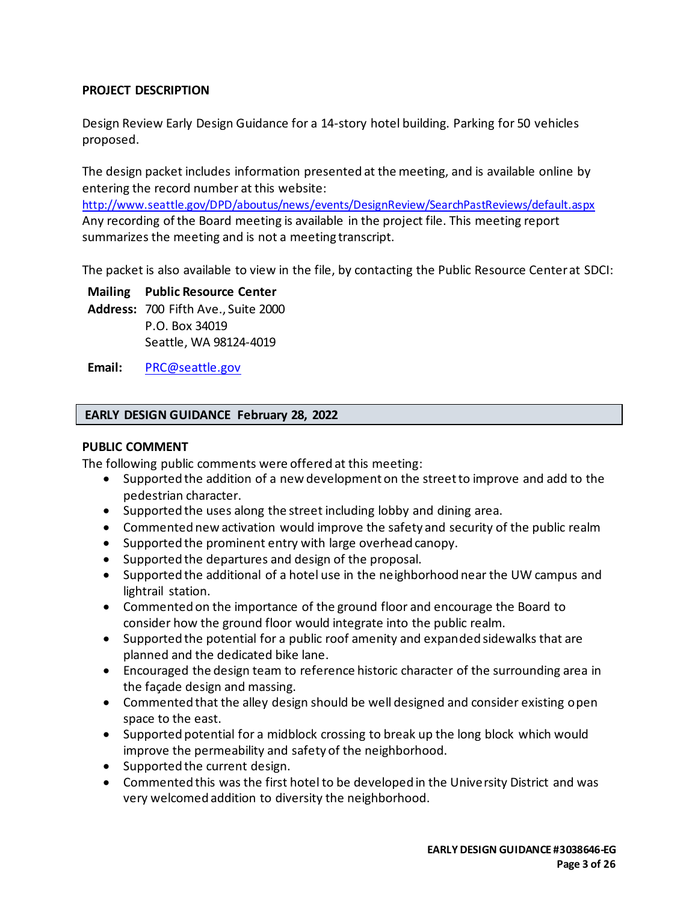#### **PROJECT DESCRIPTION**

Design Review Early Design Guidance for a 14-story hotel building. Parking for 50 vehicles proposed.

The design packet includes information presented at the meeting, and is available online by entering the record number at this website:

<http://www.seattle.gov/DPD/aboutus/news/events/DesignReview/SearchPastReviews/default.aspx> Any recording of the Board meeting is available in the project file. This meeting report summarizes the meeting and is not a meeting transcript.

The packet is also available to view in the file, by contacting the Public Resource Center at SDCI:

**Mailing Public Resource Center Address:** 700 Fifth Ave., Suite 2000 P.O. Box 34019 Seattle, WA 98124-4019

**Email:** [PRC@seattle.gov](mailto:PRC@seattle.gov)

#### **EARLY DESIGN GUIDANCE February 28, 2022**

#### **PUBLIC COMMENT**

The following public comments were offered at this meeting:

- Supported the addition of a new development on the street to improve and add to the pedestrian character.
- Supported the uses along the street including lobby and dining area.
- Commented new activation would improve the safety and security of the public realm
- Supported the prominent entry with large overhead canopy.
- Supported the departures and design of the proposal.
- Supported the additional of a hotel use in the neighborhood near the UW campus and lightrail station.
- Commented on the importance of the ground floor and encourage the Board to consider how the ground floor would integrate into the public realm.
- Supported the potential for a public roof amenity and expanded sidewalks that are planned and the dedicated bike lane.
- Encouraged the design team to reference historic character of the surrounding area in the façade design and massing.
- Commented that the alley design should be well designed and consider existing open space to the east.
- Supported potential for a midblock crossing to break up the long block which would improve the permeability and safety of the neighborhood.
- Supported the current design.
- Commented this was the first hotel to be developed in the University District and was very welcomed addition to diversity the neighborhood.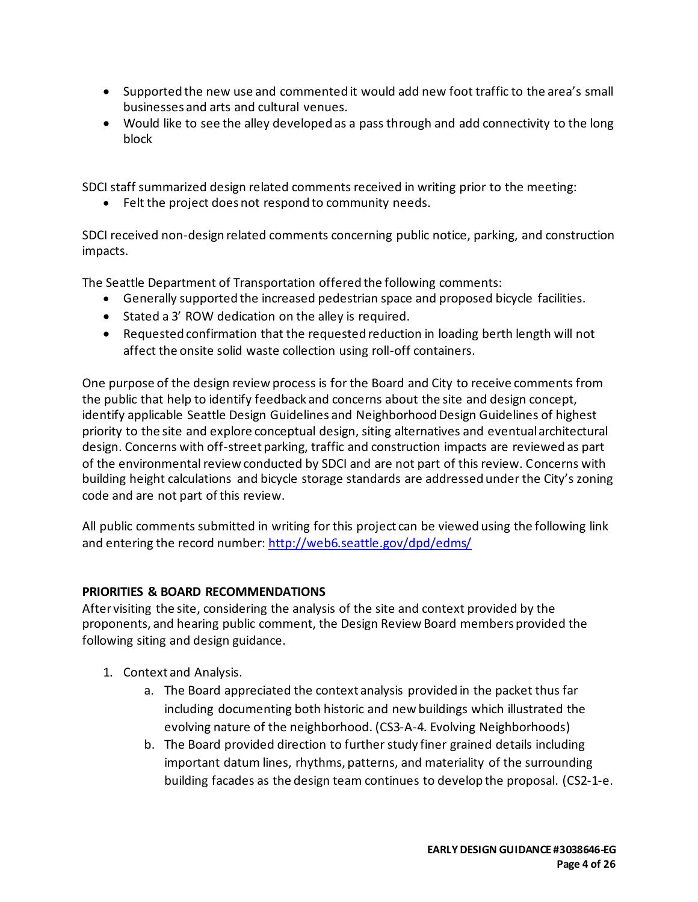- Supported the new use and commented it would add new foot traffic to the area's small businesses and arts and cultural venues.
- Would like to see the alley developed as a pass through and add connectivity to the long block

SDCI staff summarized design related comments received in writing prior to the meeting:

• Felt the project does not respond to community needs.

SDCI received non-design related comments concerning public notice, parking, and construction impacts.

The Seattle Department of Transportation offered the following comments:

- Generally supported the increased pedestrian space and proposed bicycle facilities.
- Stated a 3' ROW dedication on the alley is required.
- Requested confirmation that the requested reduction in loading berth length will not affect the onsite solid waste collection using roll-off containers.

One purpose of the design review process is for the Board and City to receive comments from the public that help to identify feedback and concerns about the site and design concept, identify applicable Seattle Design Guidelines and Neighborhood Design Guidelines of highest priority to the site and explore conceptual design, siting alternatives and eventual architectural design. Concerns with off-street parking, traffic and construction impacts are reviewed as part of the environmental review conducted by SDCI and are not part of this review. Concerns with building height calculations and bicycle storage standards are addressed under the City's zoning code and are not part of this review.

All public comments submitted in writing for this project can be viewed using the following link and entering the record number:<http://web6.seattle.gov/dpd/edms/>

# **PRIORITIES & BOARD RECOMMENDATIONS**

After visiting the site, considering the analysis of the site and context provided by the proponents, and hearing public comment, the Design Review Board members provided the following siting and design guidance.

- 1. Context and Analysis.
	- a. The Board appreciated the context analysis provided in the packet thus far including documenting both historic and new buildings which illustrated the evolving nature of the neighborhood. (CS3-A-4. Evolving Neighborhoods)
	- b. The Board provided direction to further study finer grained details including important datum lines, rhythms, patterns, and materiality of the surrounding building facades as the design team continues to develop the proposal. (CS2-1-e.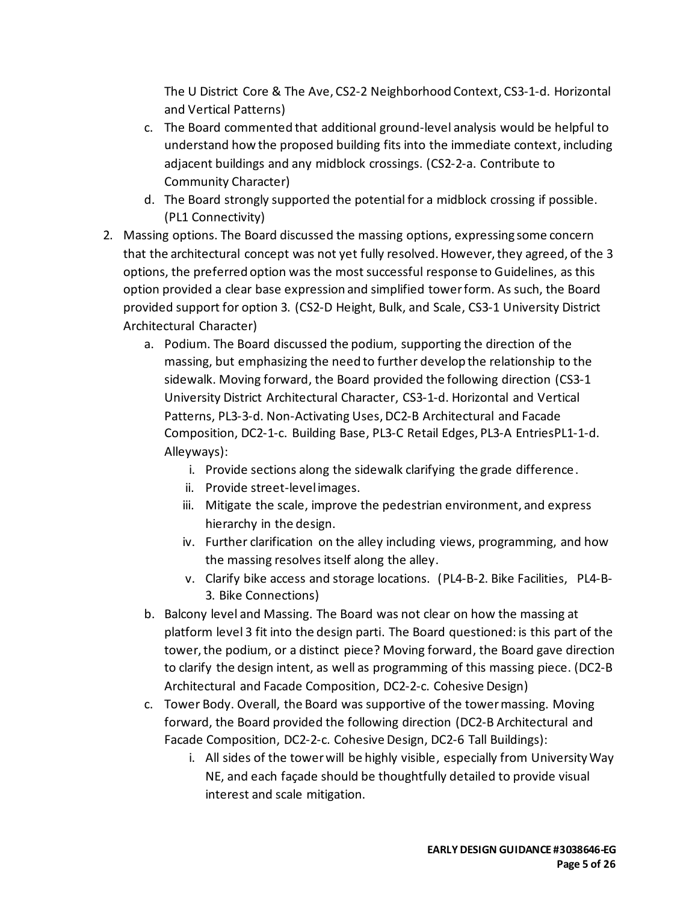The U District Core & The Ave, CS2-2 Neighborhood Context, CS3-1-d. Horizontal and Vertical Patterns)

- c. The Board commented that additional ground-level analysis would be helpful to understand how the proposed building fits into the immediate context, including adjacent buildings and any midblock crossings. (CS2-2-a. Contribute to Community Character)
- d. The Board strongly supported the potential for a midblock crossing if possible. (PL1 Connectivity)
- 2. Massing options. The Board discussed the massing options, expressing some concern that the architectural concept was not yet fully resolved. However, they agreed, of the 3 options, the preferred option was the most successful response to Guidelines, as this option provided a clear base expression and simplified tower form. As such, the Board provided support for option 3. (CS2-D Height, Bulk, and Scale, CS3-1 University District Architectural Character)
	- a. Podium. The Board discussed the podium, supporting the direction of the massing, but emphasizing the need to further develop the relationship to the sidewalk. Moving forward, the Board provided the following direction (CS3-1 University District Architectural Character, CS3-1-d. Horizontal and Vertical Patterns, PL3-3-d. Non-Activating Uses, DC2-B Architectural and Facade Composition, DC2-1-c. Building Base, PL3-C Retail Edges, PL3-A EntriesPL1-1-d. Alleyways):
		- i. Provide sections along the sidewalk clarifying the grade difference.
		- ii. Provide street-level images.
		- iii. Mitigate the scale, improve the pedestrian environment, and express hierarchy in the design.
		- iv. Further clarification on the alley including views, programming, and how the massing resolves itself along the alley.
		- v. Clarify bike access and storage locations. (PL4-B-2. Bike Facilities, PL4-B-3. Bike Connections)
	- b. Balcony level and Massing. The Board was not clear on how the massing at platform level 3 fit into the design parti. The Board questioned: is this part of the tower, the podium, or a distinct piece? Moving forward, the Board gave direction to clarify the design intent, as well as programming of this massing piece. (DC2-B Architectural and Facade Composition, DC2-2-c. Cohesive Design)
	- c. Tower Body. Overall, the Board was supportive of the tower massing. Moving forward, the Board provided the following direction (DC2-B Architectural and Facade Composition, DC2-2-c. Cohesive Design, DC2-6 Tall Buildings):
		- i. All sides of the tower will be highly visible, especially from University Way NE, and each façade should be thoughtfully detailed to provide visual interest and scale mitigation.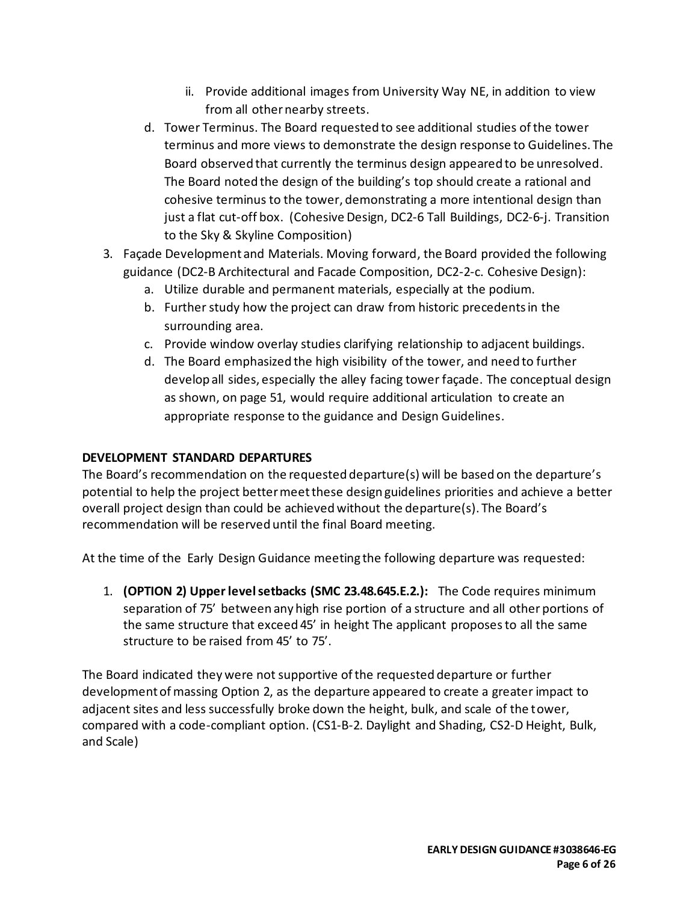- ii. Provide additional images from University Way NE, in addition to view from all other nearby streets.
- d. Tower Terminus. The Board requested to see additional studies of the tower terminus and more views to demonstrate the design response to Guidelines. The Board observed that currently the terminus design appeared to be unresolved. The Board noted the design of the building's top should create a rational and cohesive terminus to the tower, demonstrating a more intentional design than just a flat cut-off box. (Cohesive Design, DC2-6 Tall Buildings, DC2-6-j. Transition to the Sky & Skyline Composition)
- 3. Façade Development and Materials. Moving forward, the Board provided the following guidance (DC2-B Architectural and Facade Composition, DC2-2-c. Cohesive Design):
	- a. Utilize durable and permanent materials, especially at the podium.
	- b. Further study how the project can draw from historic precedents in the surrounding area.
	- c. Provide window overlay studies clarifying relationship to adjacent buildings.
	- d. The Board emphasized the high visibility of the tower, and need to further develop all sides, especially the alley facing tower façade. The conceptual design as shown, on page 51, would require additional articulation to create an appropriate response to the guidance and Design Guidelines.

## **DEVELOPMENT STANDARD DEPARTURES**

The Board's recommendation on the requested departure(s) will be based on the departure's potential to help the project better meet these design guidelines priorities and achieve a better overall project design than could be achieved without the departure(s). The Board's recommendation will be reserved until the final Board meeting.

At the time of the Early Design Guidance meeting the following departure was requested:

1. **(OPTION 2) Upper level setbacks (SMC 23.48.645.E.2.):** The Code requires minimum separation of 75' between any high rise portion of a structure and all other portions of the same structure that exceed 45' in height The applicant proposes to all the same structure to be raised from 45' to 75'.

The Board indicated they were not supportive of the requested departure or further development of massing Option 2, as the departure appeared to create a greater impact to adjacent sites and less successfully broke down the height, bulk, and scale of the tower, compared with a code-compliant option. (CS1-B-2. Daylight and Shading, CS2-D Height, Bulk, and Scale)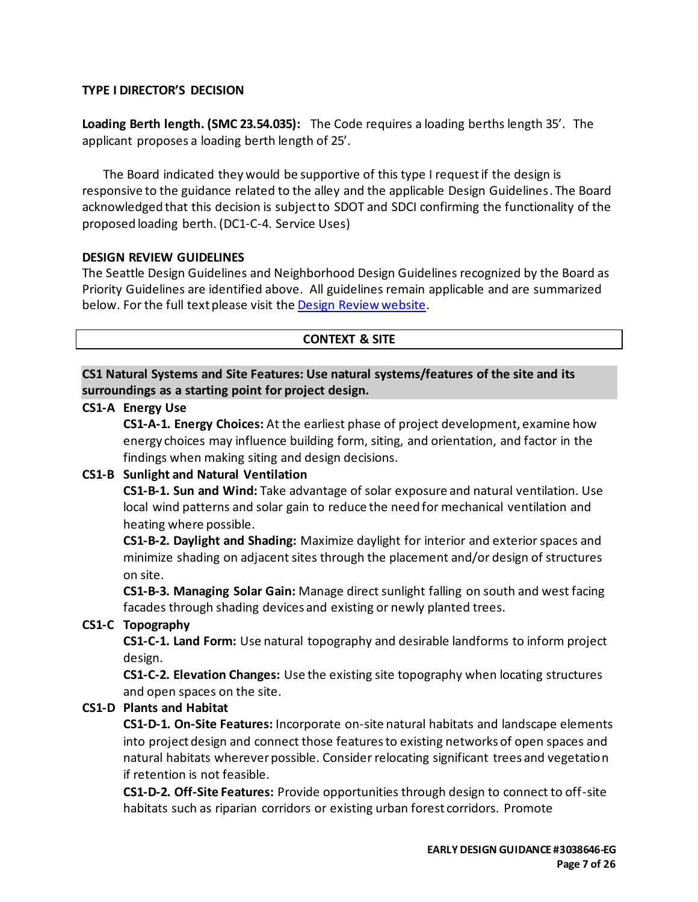#### **TYPE I DIRECTOR'S DECISION**

**Loading Berth length. (SMC 23.54.035):** The Code requires a loading berths length 35'. The applicant proposes a loading berth length of 25'.

The Board indicated they would be supportive of this type I requestif the design is responsive to the guidance related to the alley and the applicable Design Guidelines. The Board acknowledged that this decision is subject to SDOT and SDCI confirming the functionality of the proposed loading berth. (DC1-C-4. Service Uses)

#### **DESIGN REVIEW GUIDELINES**

The Seattle Design Guidelines and Neighborhood Design Guidelines recognized by the Board as Priority Guidelines are identified above. All guidelines remain applicable and are summarized below. For the full text please visit the [Design Review website.](https://www.seattle.gov/dpd/aboutus/whoweare/designreview/designguidelines/default.htm)

#### **CONTEXT & SITE**

## **CS1 Natural Systems and Site Features: Use natural systems/features of the site and its surroundings as a starting point for project design.**

#### **CS1-A Energy Use**

**CS1-A-1. Energy Choices:** At the earliest phase of project development, examine how energy choices may influence building form, siting, and orientation, and factor in the findings when making siting and design decisions.

## **CS1-B Sunlight and Natural Ventilation**

**CS1-B-1. Sun and Wind:** Take advantage of solar exposure and natural ventilation. Use local wind patterns and solar gain to reduce the need for mechanical ventilation and heating where possible.

**CS1-B-2. Daylight and Shading:** Maximize daylight for interior and exterior spaces and minimize shading on adjacent sites through the placement and/or design of structures on site.

**CS1-B-3. Managing Solar Gain:** Manage direct sunlight falling on south and west facing facades through shading devices and existing or newly planted trees.

## **CS1-C Topography**

**CS1-C-1. Land Form:** Use natural topography and desirable landforms to inform project design.

**CS1-C-2. Elevation Changes:** Use the existing site topography when locating structures and open spaces on the site.

## **CS1-D Plants and Habitat**

**CS1-D-1. On-Site Features:** Incorporate on-site natural habitats and landscape elements into project design and connect those features to existing networks of open spaces and natural habitats wherever possible. Consider relocating significant trees and vegetation if retention is not feasible.

**CS1-D-2. Off-Site Features:** Provide opportunities through design to connect to off-site habitats such as riparian corridors or existing urban forest corridors. Promote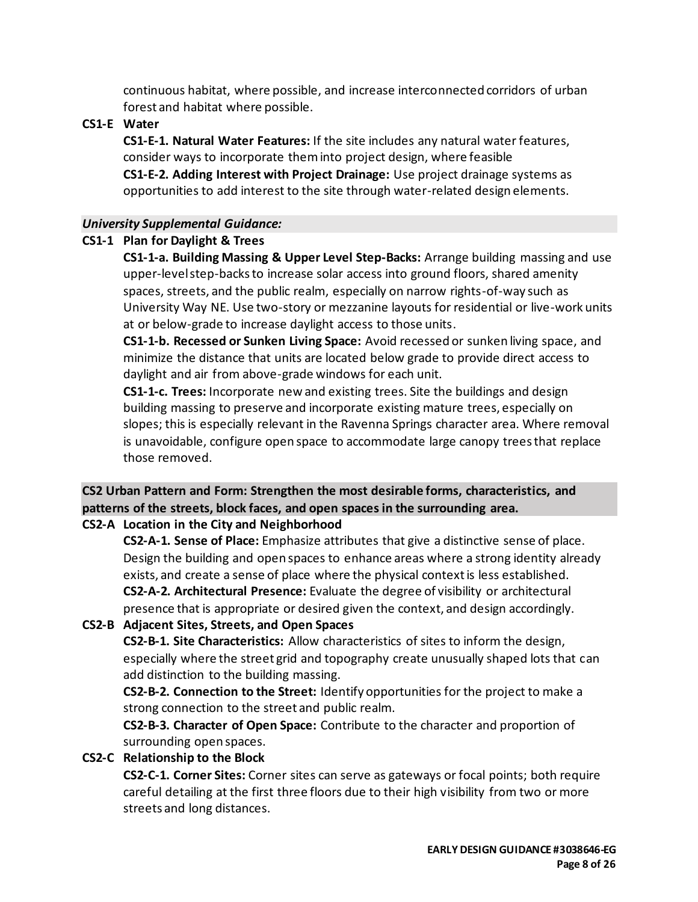continuous habitat, where possible, and increase interconnected corridors of urban forest and habitat where possible.

#### **CS1-E Water**

**CS1-E-1. Natural Water Features:** If the site includes any natural water features, consider ways to incorporate them into project design, where feasible **CS1-E-2. Adding Interest with Project Drainage:** Use project drainage systems as opportunities to add interest to the site through water-related design elements.

#### *University Supplemental Guidance:*

#### **CS1-1 Plan for Daylight & Trees**

**CS1-1-a. Building Massing & Upper Level Step-Backs:** Arrange building massing and use upper-level step-backs to increase solar access into ground floors, shared amenity spaces, streets, and the public realm, especially on narrow rights-of-way such as University Way NE. Use two-story or mezzanine layouts for residential or live-work units at or below-grade to increase daylight access to those units.

**CS1-1-b. Recessed or Sunken Living Space:** Avoid recessed or sunken living space, and minimize the distance that units are located below grade to provide direct access to daylight and air from above-grade windows for each unit.

**CS1-1-c. Trees:** Incorporate new and existing trees. Site the buildings and design building massing to preserve and incorporate existing mature trees, especially on slopes; this is especially relevant in the Ravenna Springs character area. Where removal is unavoidable, configure open space to accommodate large canopy trees that replace those removed.

# **CS2 Urban Pattern and Form: Strengthen the most desirable forms, characteristics, and patterns of the streets, block faces, and open spaces in the surrounding area.**

# **CS2-A Location in the City and Neighborhood**

**CS2-A-1. Sense of Place:** Emphasize attributes that give a distinctive sense of place. Design the building and open spaces to enhance areas where a strong identity already exists, and create a sense of place where the physical context is less established. **CS2-A-2. Architectural Presence:** Evaluate the degree of visibility or architectural presence that is appropriate or desired given the context, and design accordingly.

## **CS2-B Adjacent Sites, Streets, and Open Spaces**

**CS2-B-1. Site Characteristics:** Allow characteristics of sites to inform the design, especially where the street grid and topography create unusually shaped lots that can add distinction to the building massing.

**CS2-B-2. Connection to the Street:** Identify opportunities for the project to make a strong connection to the street and public realm.

**CS2-B-3. Character of Open Space:** Contribute to the character and proportion of surrounding open spaces.

#### **CS2-C Relationship to the Block**

**CS2-C-1. Corner Sites:** Corner sites can serve as gateways or focal points; both require careful detailing at the first three floors due to their high visibility from two or more streets and long distances.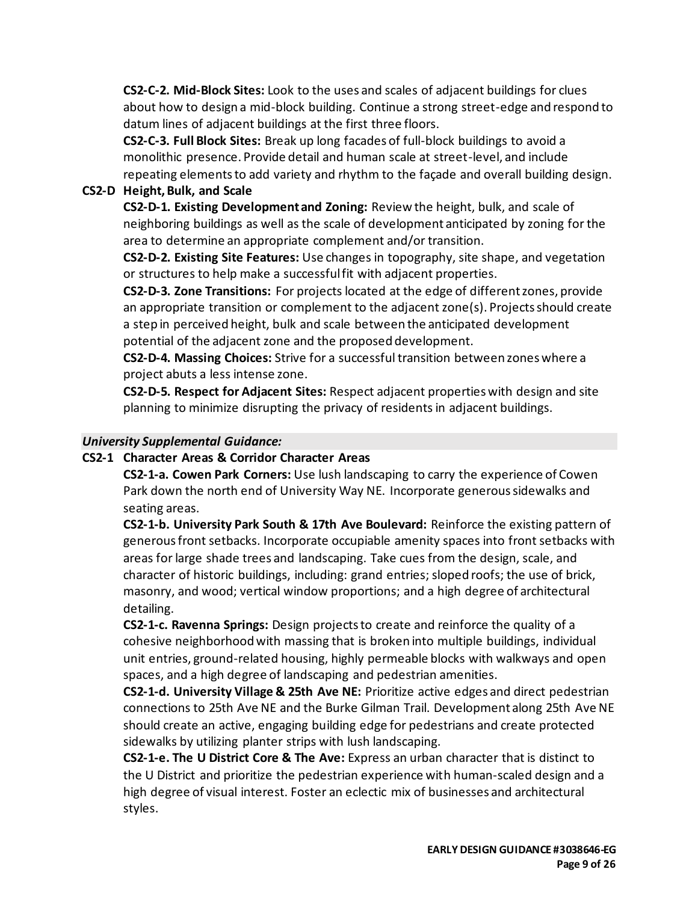**CS2-C-2. Mid-Block Sites:** Look to the uses and scales of adjacent buildings for clues about how to design a mid-block building. Continue a strong street-edge and respond to datum lines of adjacent buildings at the first three floors.

**CS2-C-3. Full Block Sites:** Break up long facades of full-block buildings to avoid a monolithic presence. Provide detail and human scale at street-level, and include repeating elements to add variety and rhythm to the façade and overall building design.

## **CS2-D Height, Bulk, and Scale**

**CS2-D-1. Existing Development and Zoning:** Review the height, bulk, and scale of neighboring buildings as well as the scale of development anticipated by zoning for the area to determine an appropriate complement and/or transition.

**CS2-D-2. Existing Site Features:** Use changes in topography, site shape, and vegetation or structures to help make a successful fit with adjacent properties.

**CS2-D-3. Zone Transitions:** For projects located at the edge of different zones, provide an appropriate transition or complement to the adjacent zone(s). Projects should create a step in perceived height, bulk and scale between the anticipated development potential of the adjacent zone and the proposed development.

**CS2-D-4. Massing Choices:** Strive for a successful transition between zones where a project abuts a less intense zone.

**CS2-D-5. Respect for Adjacent Sites:** Respect adjacent properties with design and site planning to minimize disrupting the privacy of residentsin adjacent buildings.

#### *University Supplemental Guidance:*

#### **CS2-1 Character Areas & Corridor Character Areas**

**CS2-1-a. Cowen Park Corners:** Use lush landscaping to carry the experience of Cowen Park down the north end of University Way NE. Incorporate generous sidewalks and seating areas.

**CS2-1-b. University Park South & 17th Ave Boulevard:** Reinforce the existing pattern of generous front setbacks. Incorporate occupiable amenity spaces into front setbacks with areas for large shade trees and landscaping. Take cues from the design, scale, and character of historic buildings, including: grand entries; sloped roofs; the use of brick, masonry, and wood; vertical window proportions; and a high degree of architectural detailing.

**CS2-1-c. Ravenna Springs:** Design projects to create and reinforce the quality of a cohesive neighborhood with massing that is broken into multiple buildings, individual unit entries, ground-related housing, highly permeable blocks with walkways and open spaces, and a high degree of landscaping and pedestrian amenities.

**CS2-1-d. University Village & 25th Ave NE:** Prioritize active edges and direct pedestrian connections to 25th Ave NE and the Burke Gilman Trail. Development along 25th Ave NE should create an active, engaging building edge for pedestrians and create protected sidewalks by utilizing planter strips with lush landscaping.

**CS2-1-e. The U District Core & The Ave:** Express an urban character that is distinct to the U District and prioritize the pedestrian experience with human-scaled design and a high degree of visual interest. Foster an eclectic mix of businesses and architectural styles.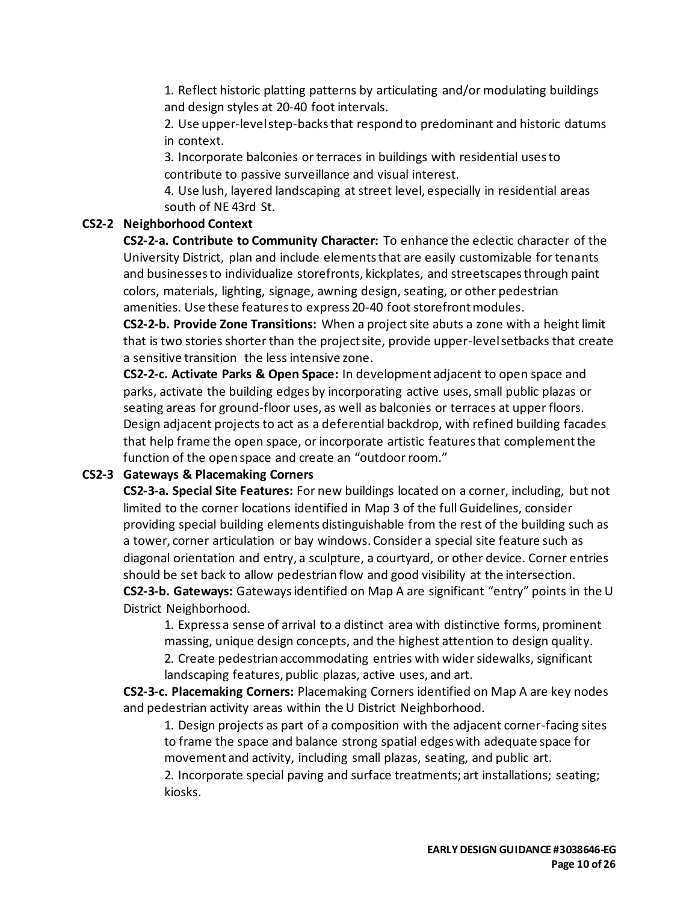1. Reflect historic platting patterns by articulating and/or modulating buildings and design styles at 20-40 foot intervals.

2. Use upper-level step-backs that respond to predominant and historic datums in context.

3. Incorporate balconies or terraces in buildings with residential uses to contribute to passive surveillance and visual interest.

4. Use lush, layered landscaping at street level, especially in residential areas south of NE 43rd St.

## **CS2-2 Neighborhood Context**

**CS2-2-a. Contribute to Community Character:** To enhance the eclectic character of the University District, plan and include elements that are easily customizable for tenants and businesses to individualize storefronts, kickplates, and streetscapes through paint colors, materials, lighting, signage, awning design, seating, or other pedestrian amenities. Use these features to express 20-40 foot storefront modules.

**CS2-2-b. Provide Zone Transitions:** When a project site abuts a zone with a height limit that is two stories shorter than the project site, provide upper-level setbacks that create a sensitive transition the less intensive zone.

**CS2-2-c. Activate Parks & Open Space:** In development adjacent to open space and parks, activate the building edges by incorporating active uses, small public plazas or seating areas for ground-floor uses, as well as balconies or terraces at upper floors. Design adjacent projects to act as a deferential backdrop, with refined building facades that help frame the open space, or incorporate artistic features that complement the function of the open space and create an "outdoor room."

## **CS2-3 Gateways & Placemaking Corners**

**CS2-3-a. Special Site Features:** For new buildings located on a corner, including, but not limited to the corner locations identified in Map 3 of the full Guidelines, consider providing special building elements distinguishable from the rest of the building such as a tower, corner articulation or bay windows. Consider a special site feature such as diagonal orientation and entry, a sculpture, a courtyard, or other device. Corner entries should be set back to allow pedestrian flow and good visibility at the intersection. **CS2-3-b. Gateways:** Gateways identified on Map A are significant "entry" points in the U District Neighborhood.

1. Express a sense of arrival to a distinct area with distinctive forms, prominent massing, unique design concepts, and the highest attention to design quality.

2. Create pedestrian accommodating entries with wider sidewalks, significant landscaping features, public plazas, active uses, and art.

**CS2-3-c. Placemaking Corners:** Placemaking Corners identified on Map A are key nodes and pedestrian activity areas within the U District Neighborhood.

1. Design projects as part of a composition with the adjacent corner-facing sites to frame the space and balance strong spatial edges with adequate space for movement and activity, including small plazas, seating, and public art.

2. Incorporate special paving and surface treatments; art installations; seating; kiosks.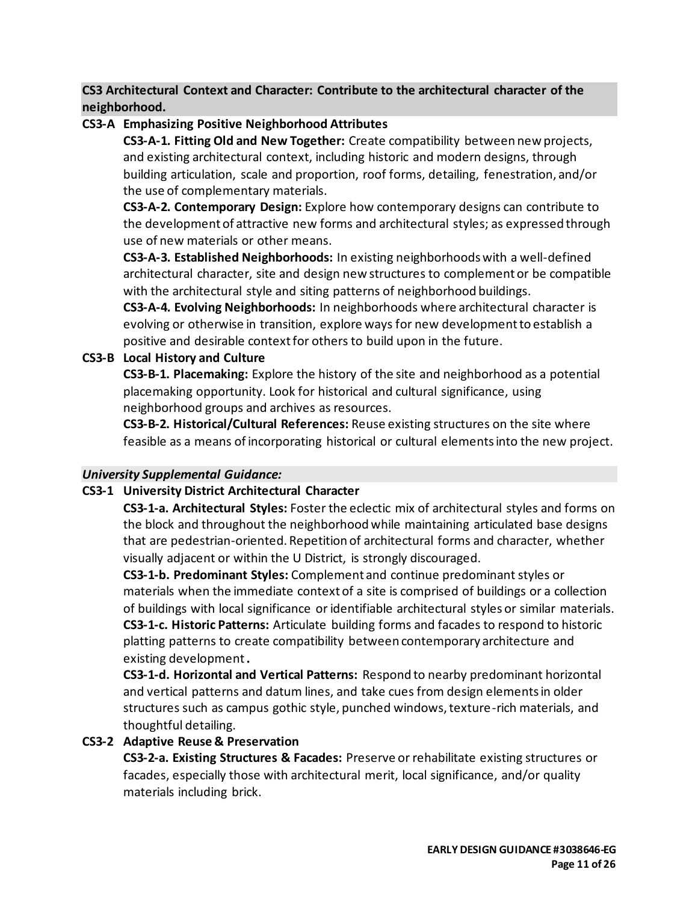**CS3 Architectural Context and Character: Contribute to the architectural character of the neighborhood.**

## **CS3-A Emphasizing Positive Neighborhood Attributes**

**CS3-A-1. Fitting Old and New Together:** Create compatibility between new projects, and existing architectural context, including historic and modern designs, through building articulation, scale and proportion, roof forms, detailing, fenestration, and/or the use of complementary materials.

**CS3-A-2. Contemporary Design:** Explore how contemporary designs can contribute to the development of attractive new forms and architectural styles; as expressed through use of new materials or other means.

**CS3-A-3. Established Neighborhoods:** In existing neighborhoods with a well-defined architectural character, site and design new structures to complement or be compatible with the architectural style and siting patterns of neighborhood buildings.

**CS3-A-4. Evolving Neighborhoods:** In neighborhoods where architectural character is evolving or otherwise in transition, explore ways for new development to establish a positive and desirable context for others to build upon in the future.

# **CS3-B Local History and Culture**

**CS3-B-1. Placemaking:** Explore the history of the site and neighborhood as a potential placemaking opportunity. Look for historical and cultural significance, using neighborhood groups and archives as resources.

**CS3-B-2. Historical/Cultural References:** Reuse existing structures on the site where feasible as a means of incorporating historical or cultural elements into the new project.

## *University Supplemental Guidance:*

## **CS3-1 University District Architectural Character**

**CS3-1-a. Architectural Styles:** Foster the eclectic mix of architectural styles and forms on the block and throughout the neighborhood while maintaining articulated base designs that are pedestrian-oriented. Repetition of architectural forms and character, whether visually adjacent or within the U District, is strongly discouraged.

**CS3-1-b. Predominant Styles:** Complement and continue predominant styles or materials when the immediate context of a site is comprised of buildings or a collection of buildings with local significance or identifiable architectural styles or similar materials. **CS3-1-c. Historic Patterns:** Articulate building forms and facades to respond to historic platting patterns to create compatibility between contemporary architecture and existing development**.**

**CS3-1-d. Horizontal and Vertical Patterns:** Respond to nearby predominant horizontal and vertical patterns and datum lines, and take cues from design elements in older structures such as campus gothic style, punched windows, texture-rich materials, and thoughtful detailing.

# **CS3-2 Adaptive Reuse & Preservation**

**CS3-2-a. Existing Structures & Facades:** Preserve or rehabilitate existing structures or facades, especially those with architectural merit, local significance, and/or quality materials including brick.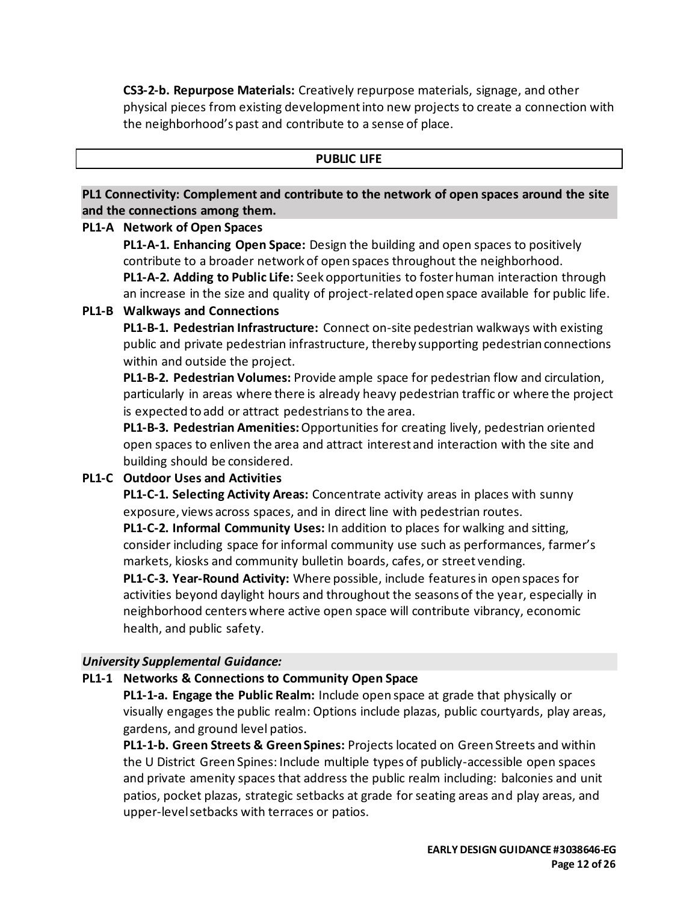**CS3-2-b. Repurpose Materials:** Creatively repurpose materials, signage, and other physical pieces from existing development into new projects to create a connection with the neighborhood's past and contribute to a sense of place.

#### **PUBLIC LIFE**

**PL1 Connectivity: Complement and contribute to the network of open spaces around the site and the connections among them.**

#### **PL1-A Network of Open Spaces**

**PL1-A-1. Enhancing Open Space:** Design the building and open spaces to positively contribute to a broader network of open spaces throughout the neighborhood. **PL1-A-2. Adding to Public Life:** Seek opportunities to foster human interaction through an increase in the size and quality of project-related open space available for public life.

#### **PL1-B Walkways and Connections**

**PL1-B-1. Pedestrian Infrastructure:** Connect on-site pedestrian walkways with existing public and private pedestrian infrastructure, thereby supporting pedestrian connections within and outside the project.

**PL1-B-2. Pedestrian Volumes:** Provide ample space for pedestrian flow and circulation, particularly in areas where there is already heavy pedestrian traffic or where the project is expected to add or attract pedestrians to the area.

**PL1-B-3. Pedestrian Amenities:**Opportunities for creating lively, pedestrian oriented open spaces to enliven the area and attract interest and interaction with the site and building should be considered.

## **PL1-C Outdoor Uses and Activities**

**PL1-C-1. Selecting Activity Areas:** Concentrate activity areas in places with sunny exposure, views across spaces, and in direct line with pedestrian routes.

**PL1-C-2. Informal Community Uses:** In addition to places for walking and sitting, consider including space for informal community use such as performances, farmer's markets, kiosks and community bulletin boards, cafes, or street vending.

**PL1-C-3. Year-Round Activity:** Where possible, include features in open spaces for activities beyond daylight hours and throughout the seasons of the year, especially in neighborhood centers where active open space will contribute vibrancy, economic health, and public safety.

#### *University Supplemental Guidance:*

#### **PL1-1 Networks & Connections to Community Open Space**

**PL1-1-a. Engage the Public Realm:** Include open space at grade that physically or visually engages the public realm: Options include plazas, public courtyards, play areas, gardens, and ground level patios.

**PL1-1-b. Green Streets & Green Spines:** Projects located on Green Streets and within the U District Green Spines: Include multiple types of publicly-accessible open spaces and private amenity spaces that address the public realm including: balconies and unit patios, pocket plazas, strategic setbacks at grade for seating areas and play areas, and upper-level setbacks with terraces or patios.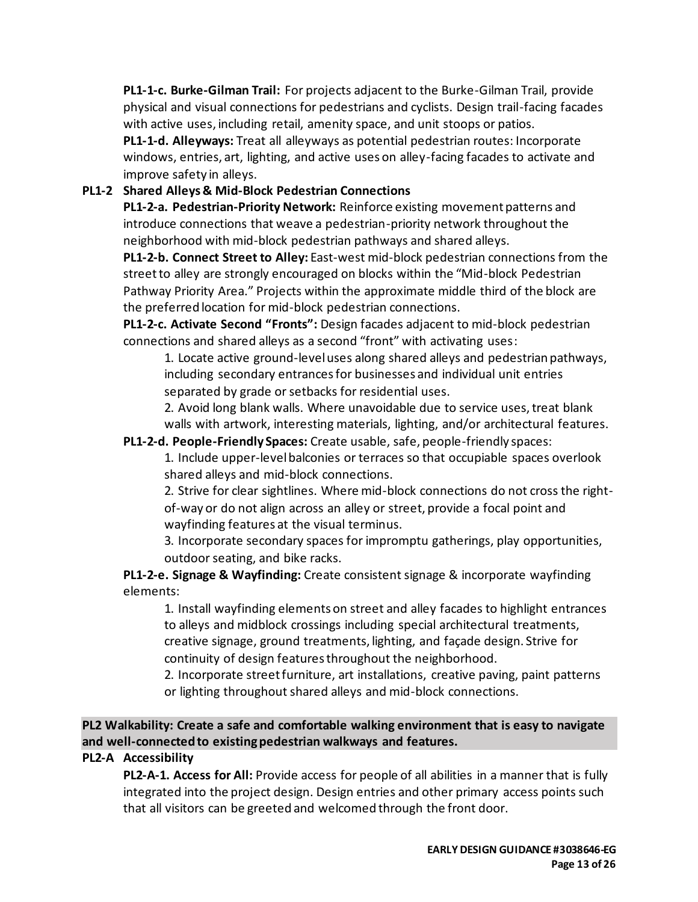**PL1-1-c. Burke-Gilman Trail:** For projects adjacent to the Burke-Gilman Trail, provide physical and visual connections for pedestrians and cyclists. Design trail-facing facades with active uses, including retail, amenity space, and unit stoops or patios.

**PL1-1-d. Alleyways:** Treat all alleyways as potential pedestrian routes: Incorporate windows, entries, art, lighting, and active uses on alley-facing facades to activate and improve safety in alleys.

# **PL1-2 Shared Alleys & Mid-Block Pedestrian Connections**

**PL1-2-a. Pedestrian-Priority Network:** Reinforce existing movement patterns and introduce connections that weave a pedestrian-priority network throughout the neighborhood with mid-block pedestrian pathways and shared alleys.

**PL1-2-b. Connect Street to Alley:** East-west mid-block pedestrian connections from the street to alley are strongly encouraged on blocks within the "Mid-block Pedestrian Pathway Priority Area." Projects within the approximate middle third of the block are the preferred location for mid-block pedestrian connections.

**PL1-2-c. Activate Second "Fronts":** Design facades adjacent to mid-block pedestrian connections and shared alleys as a second "front" with activating uses:

1. Locate active ground-level uses along shared alleys and pedestrian pathways, including secondary entrances for businesses and individual unit entries separated by grade or setbacks for residential uses.

2. Avoid long blank walls. Where unavoidable due to service uses, treat blank walls with artwork, interesting materials, lighting, and/or architectural features.

**PL1-2-d. People-Friendly Spaces:** Create usable, safe, people-friendly spaces:

1. Include upper-level balconies or terraces so that occupiable spaces overlook shared alleys and mid-block connections.

2. Strive for clear sightlines. Where mid-block connections do not cross the rightof-way or do not align across an alley or street, provide a focal point and wayfinding features at the visual terminus.

3. Incorporate secondary spaces for impromptu gatherings, play opportunities, outdoor seating, and bike racks.

**PL1-2-e. Signage & Wayfinding:** Create consistent signage & incorporate wayfinding elements:

1. Install wayfinding elements on street and alley facades to highlight entrances to alleys and midblock crossings including special architectural treatments, creative signage, ground treatments, lighting, and façade design. Strive for continuity of design features throughout the neighborhood.

2. Incorporate street furniture, art installations, creative paving, paint patterns or lighting throughout shared alleys and mid-block connections.

**PL2 Walkability: Create a safe and comfortable walking environment that is easy to navigate and well-connected to existing pedestrian walkways and features.**

# **PL2-A Accessibility**

**PL2-A-1. Access for All:** Provide access for people of all abilities in a manner that is fully integrated into the project design. Design entries and other primary access points such that all visitors can be greeted and welcomed through the front door.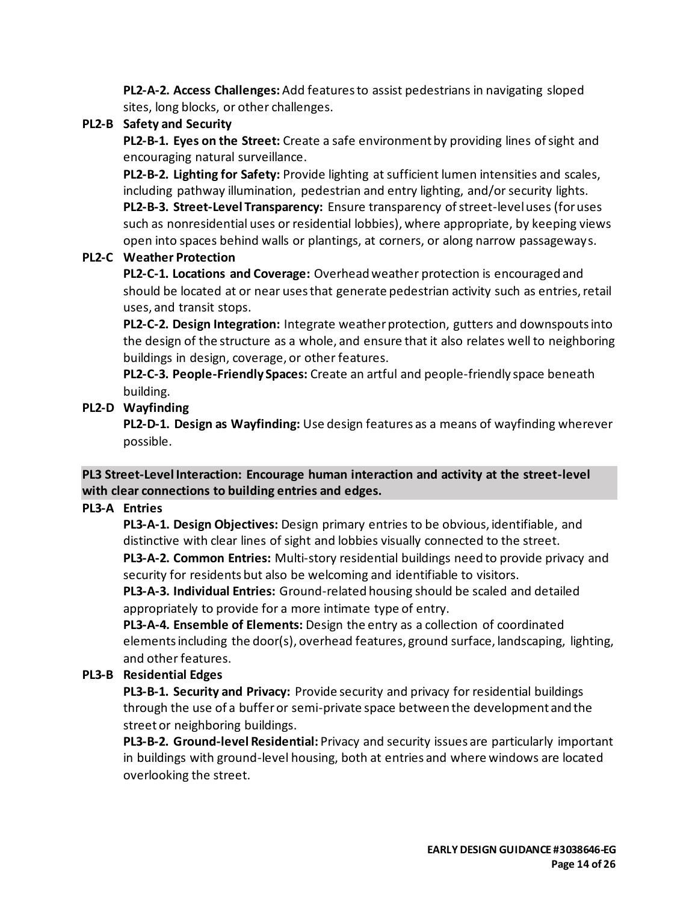**PL2-A-2. Access Challenges:**Add features to assist pedestrians in navigating sloped sites, long blocks, or other challenges.

# **PL2-B Safety and Security**

**PL2-B-1. Eyes on the Street:** Create a safe environment by providing lines of sight and encouraging natural surveillance.

**PL2-B-2. Lighting for Safety:** Provide lighting at sufficient lumen intensities and scales, including pathway illumination, pedestrian and entry lighting, and/or security lights. **PL2-B-3. Street-Level Transparency:** Ensure transparency of street-level uses (for uses such as nonresidential uses or residential lobbies), where appropriate, by keeping views open into spaces behind walls or plantings, at corners, or along narrow passageways.

## **PL2-C Weather Protection**

**PL2-C-1. Locations and Coverage:** Overhead weather protection is encouraged and should be located at or near uses that generate pedestrian activity such as entries, retail uses, and transit stops.

**PL2-C-2. Design Integration:** Integrate weather protection, gutters and downspouts into the design of the structure as a whole, and ensure that it also relates well to neighboring buildings in design, coverage, or other features.

**PL2-C-3. People-Friendly Spaces:** Create an artful and people-friendly space beneath building.

# **PL2-D Wayfinding**

**PL2-D-1. Design as Wayfinding:** Use design features as a means of wayfinding wherever possible.

# **PL3 Street-Level Interaction: Encourage human interaction and activity at the street-level with clear connections to building entries and edges.**

## **PL3-A Entries**

**PL3-A-1. Design Objectives:** Design primary entries to be obvious, identifiable, and distinctive with clear lines of sight and lobbies visually connected to the street.

**PL3-A-2. Common Entries:** Multi-story residential buildings need to provide privacy and security for residents but also be welcoming and identifiable to visitors.

**PL3-A-3. Individual Entries:** Ground-related housing should be scaled and detailed appropriately to provide for a more intimate type of entry.

**PL3-A-4. Ensemble of Elements:** Design the entry as a collection of coordinated elements including the door(s), overhead features, ground surface, landscaping, lighting, and other features.

# **PL3-B Residential Edges**

**PL3-B-1. Security and Privacy:** Provide security and privacy for residential buildings through the use of a buffer or semi-private space between the development and the street or neighboring buildings.

**PL3-B-2. Ground-level Residential:** Privacy and security issues are particularly important in buildings with ground-level housing, both at entries and where windows are located overlooking the street.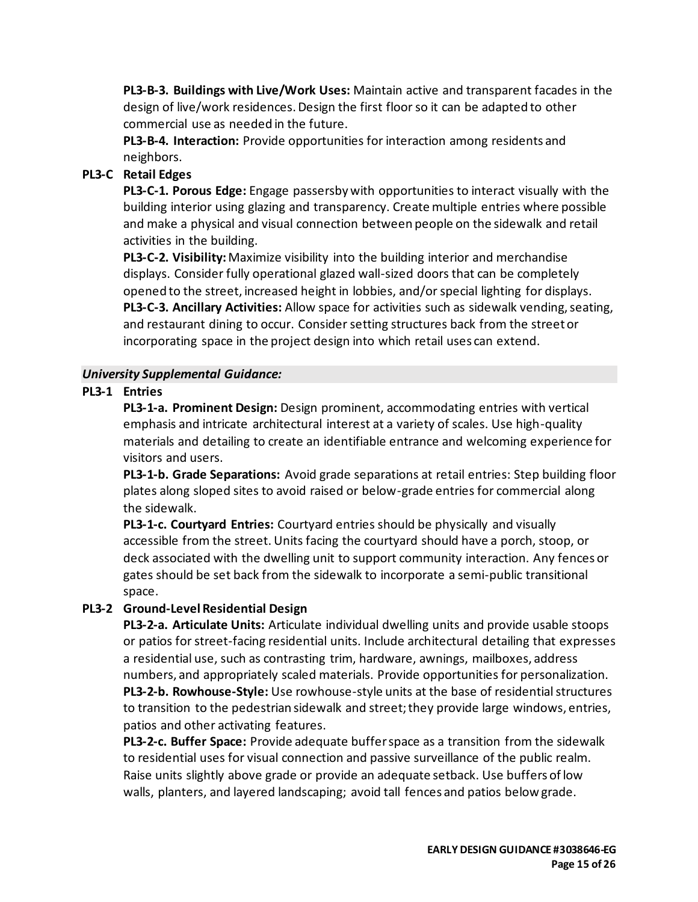**PL3-B-3. Buildings with Live/Work Uses:** Maintain active and transparent facades in the design of live/work residences. Design the first floor so it can be adapted to other commercial use as needed in the future.

**PL3-B-4. Interaction:** Provide opportunities for interaction among residents and neighbors.

# **PL3-C Retail Edges**

**PL3-C-1. Porous Edge:** Engage passersby with opportunities to interact visually with the building interior using glazing and transparency. Create multiple entries where possible and make a physical and visual connection between people on the sidewalk and retail activities in the building.

**PL3-C-2. Visibility:**Maximize visibility into the building interior and merchandise displays. Consider fully operational glazed wall-sized doors that can be completely opened to the street, increased height in lobbies, and/or special lighting for displays. **PL3-C-3. Ancillary Activities:** Allow space for activities such as sidewalk vending, seating, and restaurant dining to occur. Consider setting structures back from the street or incorporating space in the project design into which retail uses can extend.

#### *University Supplemental Guidance:*

## **PL3-1 Entries**

**PL3-1-a. Prominent Design:** Design prominent, accommodating entries with vertical emphasis and intricate architectural interest at a variety of scales. Use high-quality materials and detailing to create an identifiable entrance and welcoming experience for visitors and users.

**PL3-1-b. Grade Separations:** Avoid grade separations at retail entries: Step building floor plates along sloped sites to avoid raised or below-grade entries for commercial along the sidewalk.

**PL3-1-c. Courtyard Entries:** Courtyard entries should be physically and visually accessible from the street. Units facing the courtyard should have a porch, stoop, or deck associated with the dwelling unit to support community interaction. Any fences or gates should be set back from the sidewalk to incorporate a semi-public transitional space.

## **PL3-2 Ground-Level Residential Design**

**PL3-2-a. Articulate Units:** Articulate individual dwelling units and provide usable stoops or patios for street-facing residential units. Include architectural detailing that expresses a residential use, such as contrasting trim, hardware, awnings, mailboxes, address numbers, and appropriately scaled materials. Provide opportunities for personalization. **PL3-2-b. Rowhouse-Style:** Use rowhouse-style units at the base of residential structures to transition to the pedestrian sidewalk and street; they provide large windows, entries, patios and other activating features.

**PL3-2-c. Buffer Space:** Provide adequate buffer space as a transition from the sidewalk to residential uses for visual connection and passive surveillance of the public realm. Raise units slightly above grade or provide an adequate setback. Use buffers of low walls, planters, and layered landscaping; avoid tall fences and patios below grade.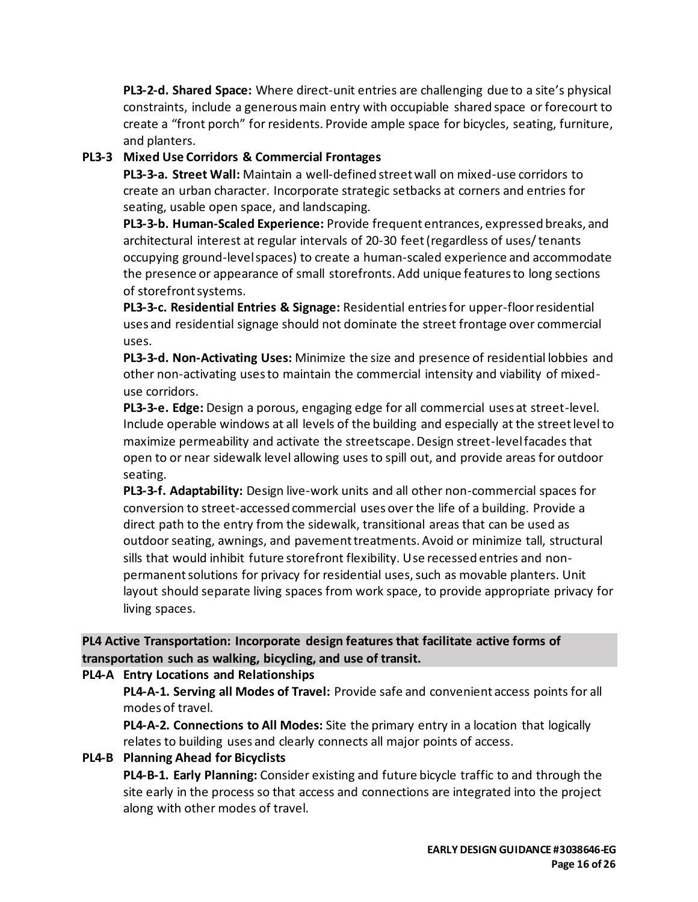**PL3-2-d. Shared Space:** Where direct-unit entries are challenging due to a site's physical constraints, include a generous main entry with occupiable shared space or forecourt to create a "front porch" for residents. Provide ample space for bicycles, seating, furniture, and planters.

# **PL3-3 Mixed Use Corridors & Commercial Frontages**

**PL3-3-a. Street Wall:** Maintain a well-defined street wall on mixed-use corridors to create an urban character. Incorporate strategic setbacks at corners and entries for seating, usable open space, and landscaping.

**PL3-3-b. Human-Scaled Experience:** Provide frequent entrances, expressed breaks, and architectural interest at regular intervals of 20-30 feet (regardless of uses/ tenants occupying ground-level spaces) to create a human-scaled experience and accommodate the presence or appearance of small storefronts. Add unique features to long sections of storefront systems.

**PL3-3-c. Residential Entries & Signage:** Residential entries for upper-floor residential uses and residential signage should not dominate the street frontage over commercial uses.

**PL3-3-d. Non-Activating Uses:** Minimize the size and presence of residential lobbies and other non-activating uses to maintain the commercial intensity and viability of mixeduse corridors.

**PL3-3-e. Edge:** Design a porous, engaging edge for all commercial uses at street-level. Include operable windows at all levels of the building and especially at the street level to maximize permeability and activate the streetscape. Design street-level facades that open to or near sidewalk level allowing uses to spill out, and provide areas for outdoor seating.

**PL3-3-f. Adaptability:** Design live-work units and all other non-commercial spaces for conversion to street-accessed commercial uses over the life of a building. Provide a direct path to the entry from the sidewalk, transitional areas that can be used as outdoor seating, awnings, and pavement treatments. Avoid or minimize tall, structural sills that would inhibit future storefront flexibility. Use recessed entries and nonpermanent solutions for privacy for residential uses, such as movable planters. Unit layout should separate living spaces from work space, to provide appropriate privacy for living spaces.

# **PL4 Active Transportation: Incorporate design features that facilitate active forms of transportation such as walking, bicycling, and use of transit.**

## **PL4-A Entry Locations and Relationships**

**PL4-A-1. Serving all Modes of Travel:** Provide safe and convenient access points for all modes of travel.

**PL4-A-2. Connections to All Modes:** Site the primary entry in a location that logically relates to building uses and clearly connects all major points of access.

# **PL4-B Planning Ahead for Bicyclists**

**PL4-B-1. Early Planning:** Consider existing and future bicycle traffic to and through the site early in the process so that access and connections are integrated into the project along with other modes of travel.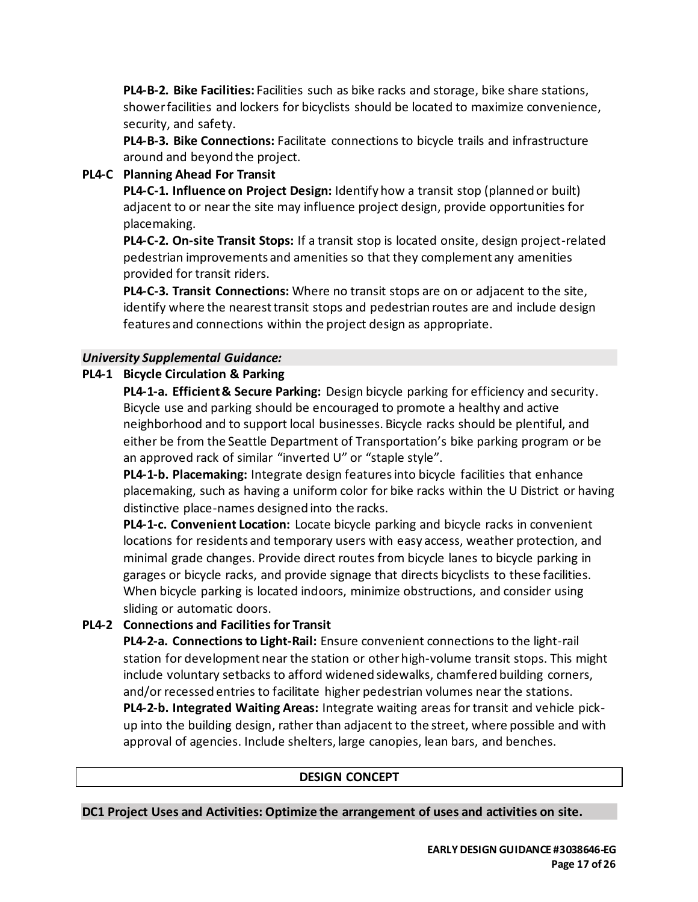**PL4-B-2. Bike Facilities:** Facilities such as bike racks and storage, bike share stations, shower facilities and lockers for bicyclists should be located to maximize convenience, security, and safety.

**PL4-B-3. Bike Connections:** Facilitate connections to bicycle trails and infrastructure around and beyond the project.

## **PL4-C Planning Ahead For Transit**

**PL4-C-1. Influence on Project Design:** Identify how a transit stop (planned or built) adjacent to or near the site may influence project design, provide opportunities for placemaking.

**PL4-C-2. On-site Transit Stops:** If a transit stop is located onsite, design project-related pedestrian improvements and amenities so that they complement any amenities provided for transit riders.

**PL4-C-3. Transit Connections:** Where no transit stops are on or adjacent to the site, identify where the nearest transit stops and pedestrian routes are and include design features and connections within the project design as appropriate.

## *University Supplemental Guidance:*

# **PL4-1 Bicycle Circulation & Parking**

**PL4-1-a. Efficient & Secure Parking:** Design bicycle parking for efficiency and security. Bicycle use and parking should be encouraged to promote a healthy and active neighborhood and to support local businesses. Bicycle racks should be plentiful, and either be from the Seattle Department of Transportation's bike parking program or be an approved rack of similar "inverted U" or "staple style".

**PL4-1-b. Placemaking:** Integrate design features into bicycle facilities that enhance placemaking, such as having a uniform color for bike racks within the U District or having distinctive place-names designed into the racks.

**PL4-1-c. Convenient Location:** Locate bicycle parking and bicycle racks in convenient locations for residents and temporary users with easy access, weather protection, and minimal grade changes. Provide direct routes from bicycle lanes to bicycle parking in garages or bicycle racks, and provide signage that directs bicyclists to these facilities. When bicycle parking is located indoors, minimize obstructions, and consider using sliding or automatic doors.

# **PL4-2 Connections and Facilities for Transit**

**PL4-2-a. Connections to Light-Rail:** Ensure convenient connections to the light-rail station for development near the station or other high-volume transit stops. This might include voluntary setbacks to afford widened sidewalks, chamfered building corners, and/or recessed entries to facilitate higher pedestrian volumes near the stations. **PL4-2-b. Integrated Waiting Areas:** Integrate waiting areas for transit and vehicle pickup into the building design, rather than adjacent to the street, where possible and with approval of agencies. Include shelters, large canopies, lean bars, and benches.

## **DESIGN CONCEPT**

**DC1 Project Uses and Activities: Optimize the arrangement of uses and activities on site.**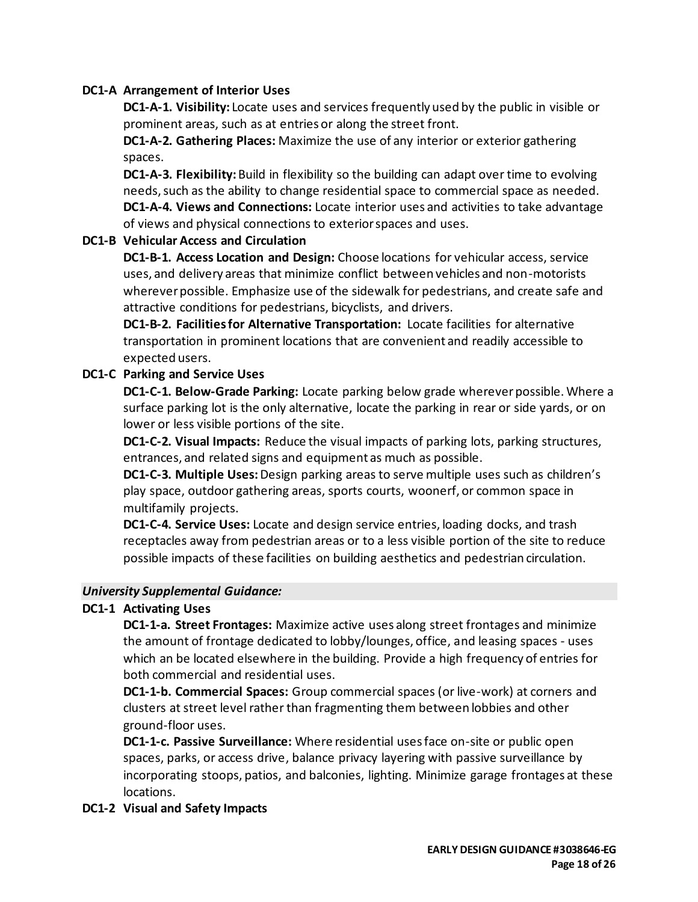#### **DC1-A Arrangement of Interior Uses**

**DC1-A-1. Visibility:** Locate uses and services frequently used by the public in visible or prominent areas, such as at entries or along the street front.

**DC1-A-2. Gathering Places:** Maximize the use of any interior or exterior gathering spaces.

**DC1-A-3. Flexibility:** Build in flexibility so the building can adapt over time to evolving needs, such as the ability to change residential space to commercial space as needed. **DC1-A-4. Views and Connections:** Locate interior uses and activities to take advantage of views and physical connections to exterior spaces and uses.

#### **DC1-B Vehicular Access and Circulation**

**DC1-B-1. Access Location and Design:** Choose locations for vehicular access, service uses, and delivery areas that minimize conflict between vehicles and non-motorists wherever possible. Emphasize use of the sidewalk for pedestrians, and create safe and attractive conditions for pedestrians, bicyclists, and drivers.

**DC1-B-2. Facilities for Alternative Transportation:** Locate facilities for alternative transportation in prominent locations that are convenient and readily accessible to expected users.

#### **DC1-C Parking and Service Uses**

**DC1-C-1. Below-Grade Parking:** Locate parking below grade wherever possible. Where a surface parking lot is the only alternative, locate the parking in rear or side yards, or on lower or less visible portions of the site.

**DC1-C-2. Visual Impacts:** Reduce the visual impacts of parking lots, parking structures, entrances, and related signs and equipment as much as possible.

**DC1-C-3. Multiple Uses:** Design parking areas to serve multiple uses such as children's play space, outdoor gathering areas, sports courts, woonerf, or common space in multifamily projects.

**DC1-C-4. Service Uses:** Locate and design service entries, loading docks, and trash receptacles away from pedestrian areas or to a less visible portion of the site to reduce possible impacts of these facilities on building aesthetics and pedestrian circulation.

#### *University Supplemental Guidance:*

## **DC1-1 Activating Uses**

**DC1-1-a. Street Frontages:** Maximize active uses along street frontages and minimize the amount of frontage dedicated to lobby/lounges, office, and leasing spaces - uses which an be located elsewhere in the building. Provide a high frequency of entries for both commercial and residential uses.

**DC1-1-b. Commercial Spaces:** Group commercial spaces (or live-work) at corners and clusters at street level rather than fragmenting them between lobbies and other ground-floor uses.

**DC1-1-c. Passive Surveillance:** Where residential uses face on-site or public open spaces, parks, or access drive, balance privacy layering with passive surveillance by incorporating stoops, patios, and balconies, lighting. Minimize garage frontages at these locations.

#### **DC1-2 Visual and Safety Impacts**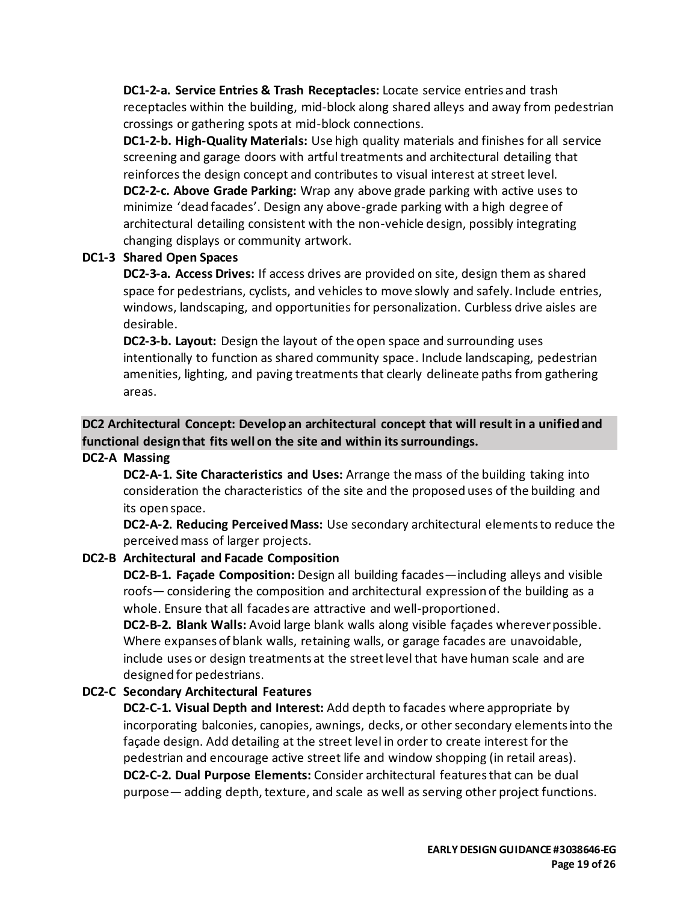**DC1-2-a. Service Entries & Trash Receptacles:** Locate service entries and trash receptacles within the building, mid-block along shared alleys and away from pedestrian crossings or gathering spots at mid-block connections.

**DC1-2-b. High-Quality Materials:** Use high quality materials and finishes for all service screening and garage doors with artful treatments and architectural detailing that reinforces the design concept and contributes to visual interest at street level. **DC2-2-c. Above Grade Parking:** Wrap any above grade parking with active uses to minimize 'dead facades'. Design any above-grade parking with a high degree of architectural detailing consistent with the non-vehicle design, possibly integrating changing displays or community artwork.

#### **DC1-3 Shared Open Spaces**

**DC2-3-a. Access Drives:** If access drives are provided on site, design them as shared space for pedestrians, cyclists, and vehicles to move slowly and safely. Include entries, windows, landscaping, and opportunities for personalization. Curbless drive aisles are desirable.

**DC2-3-b. Layout:** Design the layout of the open space and surrounding uses intentionally to function as shared community space. Include landscaping, pedestrian amenities, lighting, and paving treatments that clearly delineate paths from gathering areas.

## **DC2 Architectural Concept: Develop an architectural concept that will result in a unified and functional design that fits well on the site and within its surroundings.**

#### **DC2-A Massing**

**DC2-A-1. Site Characteristics and Uses:** Arrange the mass of the building taking into consideration the characteristics of the site and the proposed uses of the building and its open space.

**DC2-A-2. Reducing Perceived Mass:** Use secondary architectural elements to reduce the perceived mass of larger projects.

#### **DC2-B Architectural and Facade Composition**

**DC2-B-1. Façade Composition:** Design all building facades—including alleys and visible roofs— considering the composition and architectural expression of the building as a whole. Ensure that all facades are attractive and well-proportioned.

**DC2-B-2. Blank Walls:** Avoid large blank walls along visible façades wherever possible. Where expanses of blank walls, retaining walls, or garage facades are unavoidable, include uses or design treatments at the street level that have human scale and are designed for pedestrians.

#### **DC2-C Secondary Architectural Features**

**DC2-C-1. Visual Depth and Interest:** Add depth to facades where appropriate by incorporating balconies, canopies, awnings, decks, or other secondary elements into the façade design. Add detailing at the street level in order to create interest for the pedestrian and encourage active street life and window shopping (in retail areas). **DC2-C-2. Dual Purpose Elements:** Consider architectural features that can be dual purpose— adding depth, texture, and scale as well as serving other project functions.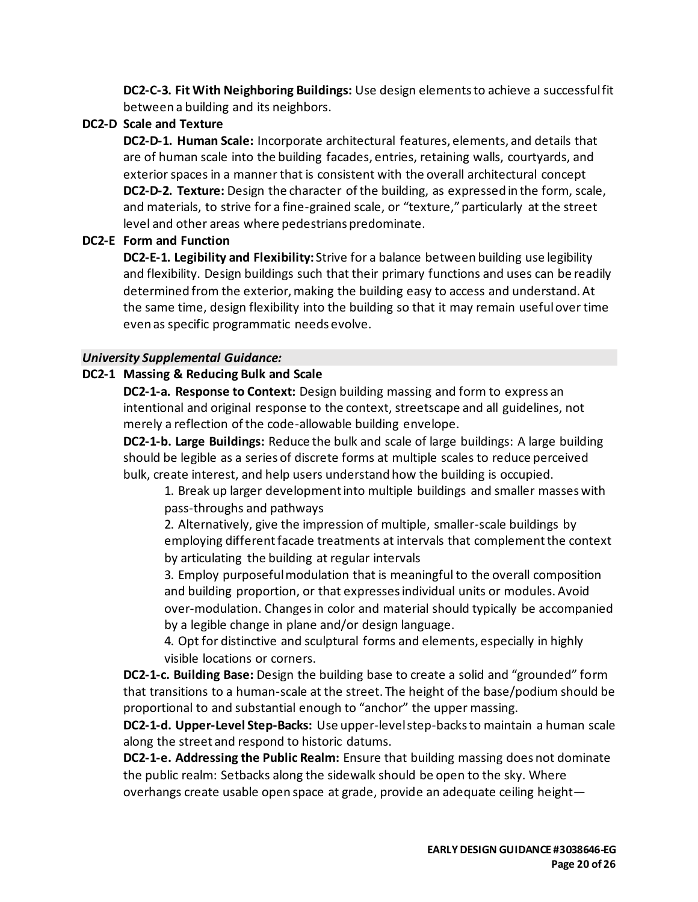**DC2-C-3. Fit With Neighboring Buildings:** Use design elements to achieve a successful fit between a building and its neighbors.

## **DC2-D Scale and Texture**

**DC2-D-1. Human Scale:** Incorporate architectural features, elements, and details that are of human scale into the building facades, entries, retaining walls, courtyards, and exterior spaces in a manner that is consistent with the overall architectural concept **DC2-D-2. Texture:** Design the character of the building, as expressed in the form, scale, and materials, to strive for a fine-grained scale, or "texture," particularly at the street level and other areas where pedestrians predominate.

# **DC2-E Form and Function**

**DC2-E-1. Legibility and Flexibility:** Strive for a balance between building use legibility and flexibility. Design buildings such that their primary functions and uses can be readily determined from the exterior, making the building easy to access and understand. At the same time, design flexibility into the building so that it may remain useful over time even as specific programmatic needs evolve.

## *University Supplemental Guidance:*

## **DC2-1 Massing & Reducing Bulk and Scale**

**DC2-1-a. Response to Context:** Design building massing and form to express an intentional and original response to the context, streetscape and all guidelines, not merely a reflection of the code-allowable building envelope.

**DC2-1-b. Large Buildings:** Reduce the bulk and scale of large buildings: A large building should be legible as a series of discrete forms at multiple scales to reduce perceived bulk, create interest, and help users understand how the building is occupied.

1. Break up larger development into multiple buildings and smaller masses with pass-throughs and pathways

2. Alternatively, give the impression of multiple, smaller-scale buildings by employing different facade treatments at intervals that complement the context by articulating the building at regular intervals

3. Employ purposeful modulation that is meaningful to the overall composition and building proportion, or that expresses individual units or modules. Avoid over-modulation. Changes in color and material should typically be accompanied by a legible change in plane and/or design language.

4. Opt for distinctive and sculptural forms and elements, especially in highly visible locations or corners.

**DC2-1-c. Building Base:** Design the building base to create a solid and "grounded" form that transitions to a human-scale at the street. The height of the base/podium should be proportional to and substantial enough to "anchor" the upper massing.

**DC2-1-d. Upper-Level Step-Backs:** Use upper-level step-backs to maintain a human scale along the street and respond to historic datums.

**DC2-1-e. Addressing the Public Realm:** Ensure that building massing does not dominate the public realm: Setbacks along the sidewalk should be open to the sky. Where overhangs create usable open space at grade, provide an adequate ceiling height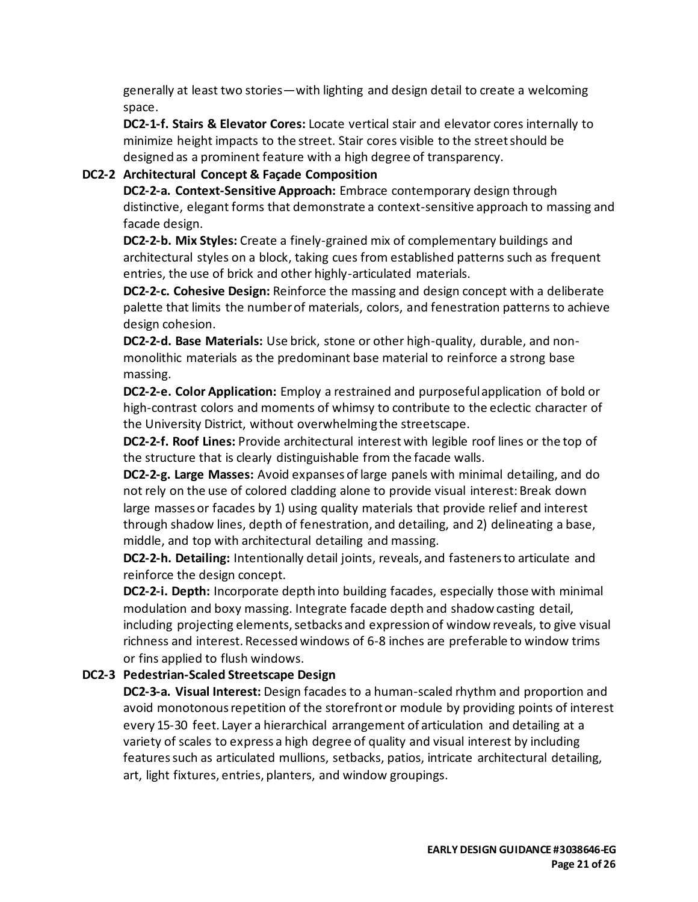generally at least two stories—with lighting and design detail to create a welcoming space.

**DC2-1-f. Stairs & Elevator Cores:** Locate vertical stair and elevator cores internally to minimize height impacts to the street. Stair cores visible to the street should be designed as a prominent feature with a high degree of transparency.

#### **DC2-2 Architectural Concept & Façade Composition**

**DC2-2-a. Context-Sensitive Approach:** Embrace contemporary design through distinctive, elegant forms that demonstrate a context-sensitive approach to massing and facade design.

**DC2-2-b. Mix Styles:** Create a finely-grained mix of complementary buildings and architectural styles on a block, taking cues from established patterns such as frequent entries, the use of brick and other highly-articulated materials.

**DC2-2-c. Cohesive Design:** Reinforce the massing and design concept with a deliberate palette that limits the number of materials, colors, and fenestration patterns to achieve design cohesion.

**DC2-2-d. Base Materials:** Use brick, stone or other high-quality, durable, and nonmonolithic materials as the predominant base material to reinforce a strong base massing.

**DC2-2-e. Color Application:** Employ a restrained and purposeful application of bold or high-contrast colors and moments of whimsy to contribute to the eclectic character of the University District, without overwhelming the streetscape.

**DC2-2-f. Roof Lines:** Provide architectural interest with legible roof lines or the top of the structure that is clearly distinguishable from the facade walls.

**DC2-2-g. Large Masses:** Avoid expanses of large panels with minimal detailing, and do not rely on the use of colored cladding alone to provide visual interest: Break down large masses or facades by 1) using quality materials that provide relief and interest through shadow lines, depth of fenestration, and detailing, and 2) delineating a base, middle, and top with architectural detailing and massing.

**DC2-2-h. Detailing:** Intentionally detail joints, reveals, and fasteners to articulate and reinforce the design concept.

**DC2-2-i. Depth:** Incorporate depth into building facades, especially those with minimal modulation and boxy massing. Integrate facade depth and shadow casting detail, including projecting elements, setbacks and expression of window reveals, to give visual richness and interest. Recessed windows of 6-8 inches are preferable to window trims or fins applied to flush windows.

#### **DC2-3 Pedestrian-Scaled Streetscape Design**

**DC2-3-a. Visual Interest:** Design facades to a human-scaled rhythm and proportion and avoid monotonous repetition of the storefront or module by providing points of interest every 15-30 feet. Layer a hierarchical arrangement of articulation and detailing at a variety of scales to express a high degree of quality and visual interest by including features such as articulated mullions, setbacks, patios, intricate architectural detailing, art, light fixtures, entries, planters, and window groupings.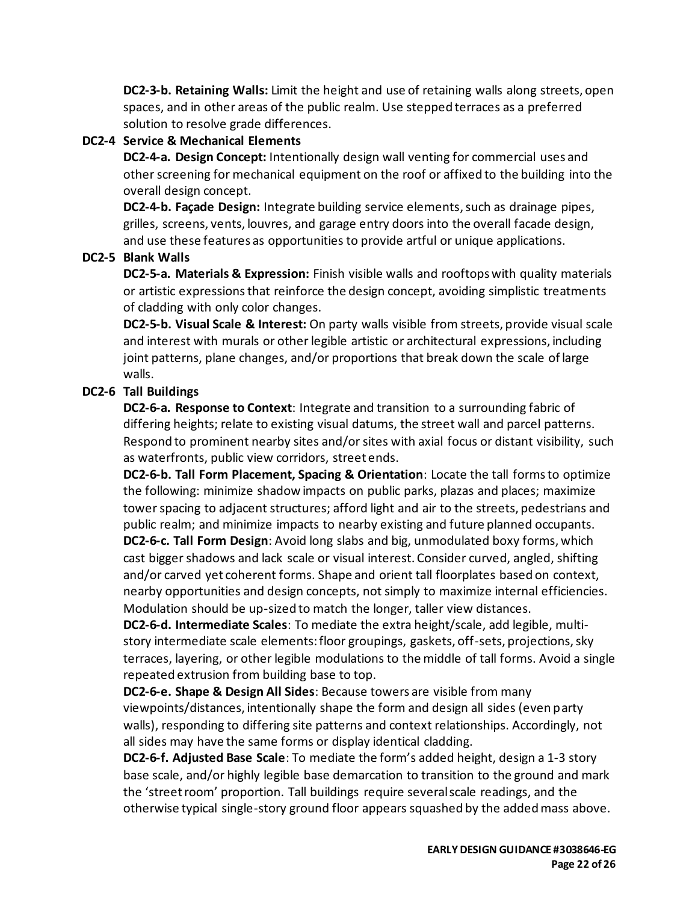**DC2-3-b. Retaining Walls:** Limit the height and use of retaining walls along streets, open spaces, and in other areas of the public realm. Use stepped terraces as a preferred solution to resolve grade differences.

## **DC2-4 Service & Mechanical Elements**

**DC2-4-a. Design Concept:** Intentionally design wall venting for commercial uses and other screening for mechanical equipment on the roof or affixed to the building into the overall design concept.

**DC2-4-b. Façade Design:** Integrate building service elements, such as drainage pipes, grilles, screens, vents, louvres, and garage entry doors into the overall facade design, and use these features as opportunities to provide artful or unique applications.

# **DC2-5 Blank Walls**

**DC2-5-a. Materials & Expression:** Finish visible walls and rooftops with quality materials or artistic expressions that reinforce the design concept, avoiding simplistic treatments of cladding with only color changes.

**DC2-5-b. Visual Scale & Interest:** On party walls visible from streets, provide visual scale and interest with murals or other legible artistic or architectural expressions, including joint patterns, plane changes, and/or proportions that break down the scale of large walls.

# **DC2-6 Tall Buildings**

**DC2-6-a. Response to Context**: Integrate and transition to a surrounding fabric of differing heights; relate to existing visual datums, the street wall and parcel patterns. Respond to prominent nearby sites and/or sites with axial focus or distant visibility, such as waterfronts, public view corridors, street ends.

**DC2-6-b. Tall Form Placement, Spacing & Orientation**: Locate the tall forms to optimize the following: minimize shadow impacts on public parks, plazas and places; maximize tower spacing to adjacent structures; afford light and air to the streets, pedestrians and public realm; and minimize impacts to nearby existing and future planned occupants. **DC2-6-c. Tall Form Design**: Avoid long slabs and big, unmodulated boxy forms, which

cast bigger shadows and lack scale or visual interest. Consider curved, angled, shifting and/or carved yet coherent forms. Shape and orient tall floorplates based on context, nearby opportunities and design concepts, not simply to maximize internal efficiencies. Modulation should be up-sized to match the longer, taller view distances.

**DC2-6-d. Intermediate Scales**: To mediate the extra height/scale, add legible, multistory intermediate scale elements: floor groupings, gaskets, off-sets, projections, sky terraces, layering, or other legible modulations to the middle of tall forms. Avoid a single repeated extrusion from building base to top.

**DC2-6-e. Shape & Design All Sides**: Because towers are visible from many viewpoints/distances, intentionally shape the form and design all sides (even party walls), responding to differing site patterns and context relationships. Accordingly, not all sides may have the same forms or display identical cladding.

**DC2-6-f. Adjusted Base Scale**: To mediate the form's added height, design a 1-3 story base scale, and/or highly legible base demarcation to transition to the ground and mark the 'street room' proportion. Tall buildings require several scale readings, and the otherwise typical single-story ground floor appears squashed by the added mass above.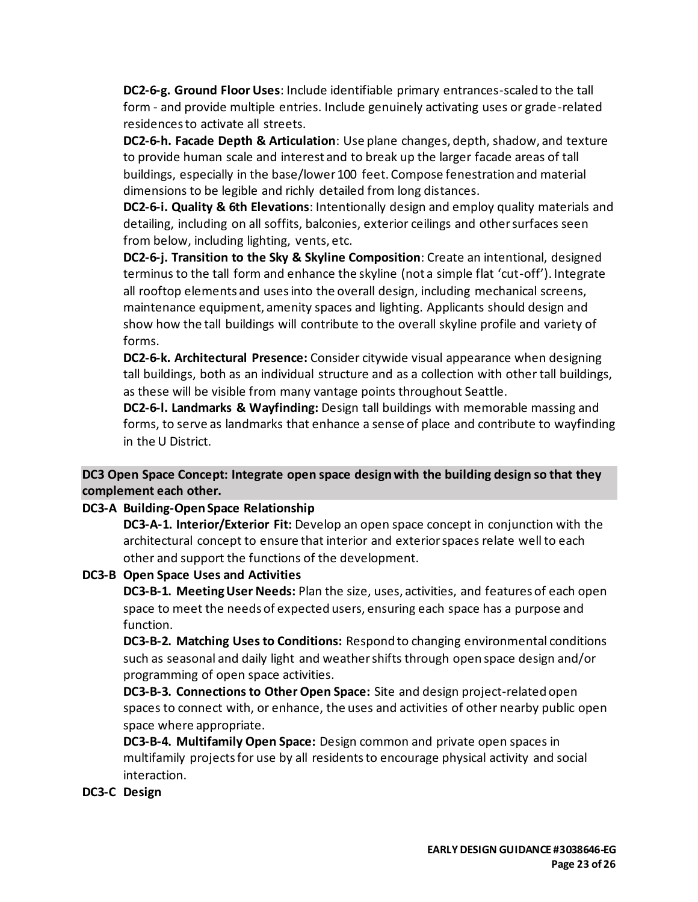**DC2-6-g. Ground Floor Uses**: Include identifiable primary entrances-scaled to the tall form - and provide multiple entries. Include genuinely activating uses or grade-related residences to activate all streets.

**DC2-6-h. Facade Depth & Articulation**: Use plane changes, depth, shadow, and texture to provide human scale and interest and to break up the larger facade areas of tall buildings, especially in the base/lower 100 feet. Compose fenestration and material dimensions to be legible and richly detailed from long distances.

**DC2-6-i. Quality & 6th Elevations**: Intentionally design and employ quality materials and detailing, including on all soffits, balconies, exterior ceilings and other surfaces seen from below, including lighting, vents, etc.

**DC2-6-j. Transition to the Sky & Skyline Composition**: Create an intentional, designed terminus to the tall form and enhance the skyline (not a simple flat 'cut-off'). Integrate all rooftop elements and uses into the overall design, including mechanical screens, maintenance equipment, amenity spaces and lighting. Applicants should design and show how the tall buildings will contribute to the overall skyline profile and variety of forms.

**DC2-6-k. Architectural Presence:** Consider citywide visual appearance when designing tall buildings, both as an individual structure and as a collection with other tall buildings, as these will be visible from many vantage points throughout Seattle.

**DC2-6-l. Landmarks & Wayfinding:** Design tall buildings with memorable massing and forms, to serve as landmarks that enhance a sense of place and contribute to wayfinding in the U District.

**DC3 Open Space Concept: Integrate open space design with the building design so that they complement each other.**

**DC3-A Building-Open Space Relationship**

**DC3-A-1. Interior/Exterior Fit:** Develop an open space concept in conjunction with the architectural concept to ensure that interior and exterior spaces relate well to each other and support the functions of the development.

**DC3-B Open Space Uses and Activities**

**DC3-B-1. Meeting User Needs:** Plan the size, uses, activities, and features of each open space to meet the needs of expected users, ensuring each space has a purpose and function.

**DC3-B-2. Matching Uses to Conditions:** Respond to changing environmental conditions such as seasonal and daily light and weather shifts through open space design and/or programming of open space activities.

**DC3-B-3. Connections to Other Open Space:** Site and design project-related open spaces to connect with, or enhance, the uses and activities of other nearby public open space where appropriate.

**DC3-B-4. Multifamily Open Space:** Design common and private open spaces in multifamily projects for use by all residents to encourage physical activity and social interaction.

## **DC3-C Design**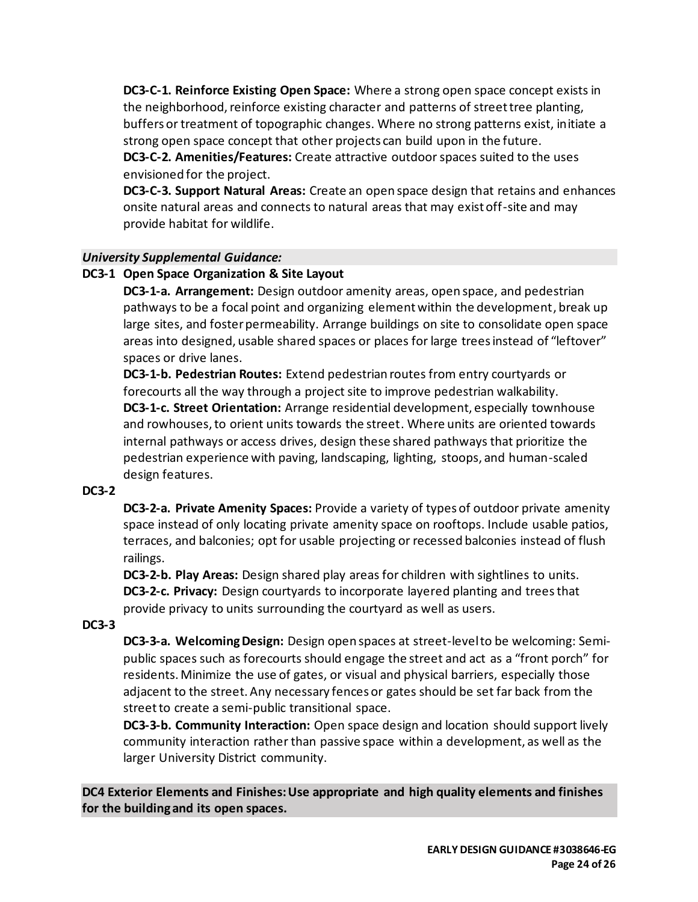**DC3-C-1. Reinforce Existing Open Space:** Where a strong open space concept exists in the neighborhood, reinforce existing character and patterns of street tree planting, buffers or treatment of topographic changes. Where no strong patterns exist, initiate a strong open space concept that other projects can build upon in the future.

**DC3-C-2. Amenities/Features:** Create attractive outdoor spaces suited to the uses envisioned for the project.

**DC3-C-3. Support Natural Areas:** Create an open space design that retains and enhances onsite natural areas and connects to natural areas that may exist off-site and may provide habitat for wildlife.

#### *University Supplemental Guidance:*

#### **DC3-1 Open Space Organization & Site Layout**

**DC3-1-a. Arrangement:** Design outdoor amenity areas, open space, and pedestrian pathways to be a focal point and organizing element within the development, break up large sites, and foster permeability. Arrange buildings on site to consolidate open space areas into designed, usable shared spaces or places for large trees instead of "leftover" spaces or drive lanes.

**DC3-1-b. Pedestrian Routes:** Extend pedestrian routes from entry courtyards or forecourts all the way through a project site to improve pedestrian walkability. **DC3-1-c. Street Orientation:** Arrange residential development, especially townhouse and rowhouses, to orient units towards the street. Where units are oriented towards internal pathways or access drives, design these shared pathways that prioritize the pedestrian experience with paving, landscaping, lighting, stoops, and human-scaled design features.

#### **DC3-2**

**DC3-2-a. Private Amenity Spaces:** Provide a variety of types of outdoor private amenity space instead of only locating private amenity space on rooftops. Include usable patios, terraces, and balconies; opt for usable projecting or recessed balconies instead of flush railings.

**DC3-2-b. Play Areas:** Design shared play areas for children with sightlines to units. **DC3-2-c. Privacy:** Design courtyards to incorporate layered planting and trees that provide privacy to units surrounding the courtyard as well as users.

#### **DC3-3**

**DC3-3-a. Welcoming Design:** Design open spaces at street-level to be welcoming: Semipublic spaces such as forecourts should engage the street and act as a "front porch" for residents. Minimize the use of gates, or visual and physical barriers, especially those adjacent to the street. Any necessary fences or gates should be set far back from the street to create a semi-public transitional space.

**DC3-3-b. Community Interaction:** Open space design and location should support lively community interaction rather than passive space within a development, as well as the larger University District community.

**DC4 Exterior Elements and Finishes: Use appropriate and high quality elements and finishes for the building and its open spaces.**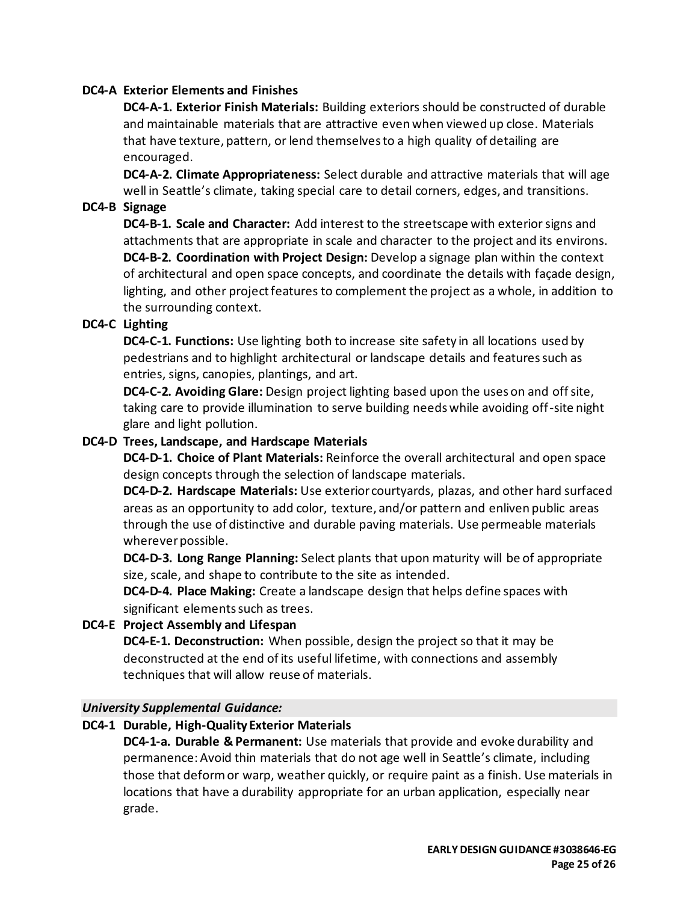#### **DC4-A Exterior Elements and Finishes**

**DC4-A-1. Exterior Finish Materials:** Building exteriors should be constructed of durable and maintainable materials that are attractive even when viewed up close. Materials that have texture, pattern, or lend themselves to a high quality of detailing are encouraged.

**DC4-A-2. Climate Appropriateness:** Select durable and attractive materials that will age well in Seattle's climate, taking special care to detail corners, edges, and transitions.

#### **DC4-B Signage**

**DC4-B-1. Scale and Character:** Add interest to the streetscape with exterior signs and attachments that are appropriate in scale and character to the project and its environs. **DC4-B-2. Coordination with Project Design:** Develop a signage plan within the context of architectural and open space concepts, and coordinate the details with façade design, lighting, and other project features to complement the project as a whole, in addition to the surrounding context.

## **DC4-C Lighting**

**DC4-C-1. Functions:** Use lighting both to increase site safety in all locations used by pedestrians and to highlight architectural or landscape details and features such as entries, signs, canopies, plantings, and art.

**DC4-C-2. Avoiding Glare:** Design project lighting based upon the uses on and off site, taking care to provide illumination to serve building needs while avoiding off-site night glare and light pollution.

#### **DC4-D Trees, Landscape, and Hardscape Materials**

**DC4-D-1. Choice of Plant Materials:** Reinforce the overall architectural and open space design concepts through the selection of landscape materials.

**DC4-D-2. Hardscape Materials:** Use exterior courtyards, plazas, and other hard surfaced areas as an opportunity to add color, texture, and/or pattern and enliven public areas through the use of distinctive and durable paving materials. Use permeable materials wherever possible.

**DC4-D-3. Long Range Planning:** Select plants that upon maturity will be of appropriate size, scale, and shape to contribute to the site as intended.

**DC4-D-4. Place Making:** Create a landscape design that helps define spaces with significant elements such as trees.

#### **DC4-E Project Assembly and Lifespan**

**DC4-E-1. Deconstruction:** When possible, design the project so that it may be deconstructed at the end of its useful lifetime, with connections and assembly techniques that will allow reuse of materials.

#### *University Supplemental Guidance:*

#### **DC4-1 Durable, High-Quality Exterior Materials**

**DC4-1-a. Durable & Permanent:** Use materials that provide and evoke durability and permanence: Avoid thin materials that do not age well in Seattle's climate, including those that deform or warp, weather quickly, or require paint as a finish. Use materials in locations that have a durability appropriate for an urban application, especially near grade.